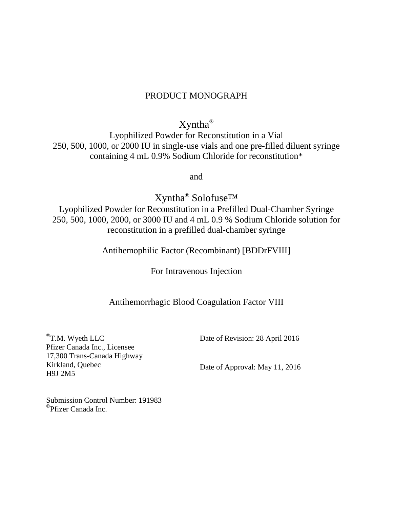# PRODUCT MONOGRAPH

Xyntha®

Lyophilized Powder for Reconstitution in a Vial 250, 500, 1000, or 2000 IU in single-use vials and one pre-filled diluent syringe containing 4 mL 0.9% Sodium Chloride for reconstitution\*

and

Xyntha® Solofuse™

Lyophilized Powder for Reconstitution in a Prefilled Dual-Chamber Syringe 250, 500, 1000, 2000, or 3000 IU and 4 mL 0.9 % Sodium Chloride solution for reconstitution in a prefilled dual-chamber syringe

Antihemophilic Factor (Recombinant) [BDDrFVIII]

For Intravenous Injection

# Antihemorrhagic Blood Coagulation Factor VIII

<sup>®</sup>T.M. Wyeth LLC Pfizer Canada Inc., Licensee 17,300 Trans-Canada Highway Kirkland, Quebec H9J 2M5

Date of Revision: 28 April 2016

Date of Approval: May 11, 2016

Submission Control Number: 191983 ©Pfizer Canada Inc.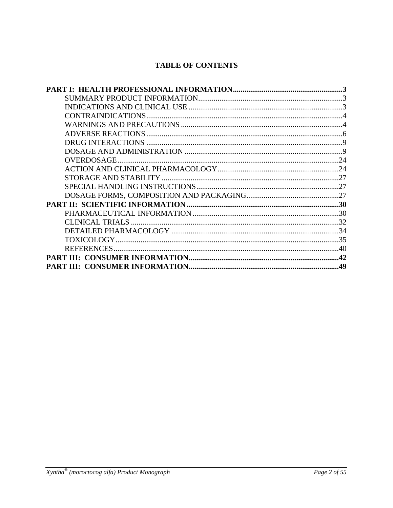# **TABLE OF CONTENTS**

| $2\Delta$  |
|------------|
|            |
|            |
|            |
|            |
|            |
|            |
|            |
| -34        |
|            |
| $\Delta$ 0 |
| .42        |
| .49        |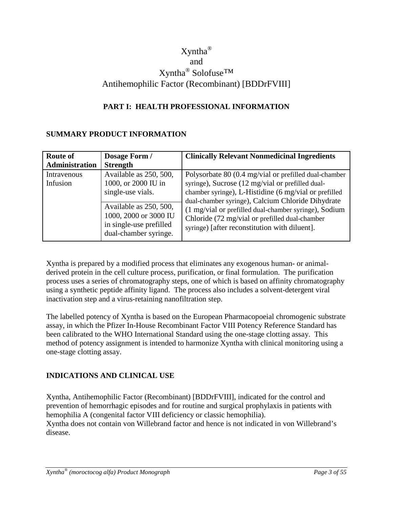# Xyntha® and Xyntha® Solofuse™ Antihemophilic Factor (Recombinant) [BDDrFVIII]

# <span id="page-2-0"></span>**PART I: HEALTH PROFESSIONAL INFORMATION**

### <span id="page-2-1"></span>**SUMMARY PRODUCT INFORMATION**

| <b>Route of</b> | Dosage Form /                                                                                       | <b>Clinically Relevant Nonmedicinal Ingredients</b>                                                                                                                                                           |
|-----------------|-----------------------------------------------------------------------------------------------------|---------------------------------------------------------------------------------------------------------------------------------------------------------------------------------------------------------------|
| Administration  | <b>Strength</b>                                                                                     |                                                                                                                                                                                                               |
| Intravenous     | Available as 250, 500,                                                                              | Polysorbate 80 (0.4 mg/vial or prefilled dual-chamber                                                                                                                                                         |
| Infusion        | 1000, or 2000 IU in                                                                                 | syringe), Sucrose (12 mg/vial or prefilled dual-                                                                                                                                                              |
|                 | single-use vials.                                                                                   | chamber syringe), L-Histidine (6 mg/vial or prefilled                                                                                                                                                         |
|                 | Available as 250, 500,<br>1000, 2000 or 3000 IU<br>in single-use prefilled<br>dual-chamber syringe. | dual-chamber syringe), Calcium Chloride Dihydrate<br>(1 mg/vial or prefilled dual-chamber syringe), Sodium<br>Chloride (72 mg/vial or prefilled dual-chamber<br>syringe) [after reconstitution with diluent]. |

Xyntha is prepared by a modified process that eliminates any exogenous human- or animalderived protein in the cell culture process, purification, or final formulation. The purification process uses a series of chromatography steps, one of which is based on affinity chromatography using a synthetic peptide affinity ligand. The process also includes a solvent-detergent viral inactivation step and a virus-retaining nanofiltration step.

The labelled potency of Xyntha is based on the European Pharmacopoeial chromogenic substrate assay, in which the Pfizer In-House Recombinant Factor VIII Potency Reference Standard has been calibrated to the WHO International Standard using the one-stage clotting assay. This method of potency assignment is intended to harmonize Xyntha with clinical monitoring using a one-stage clotting assay.

# <span id="page-2-2"></span>**INDICATIONS AND CLINICAL USE**

Xyntha, Antihemophilic Factor (Recombinant) [BDDrFVIII], indicated for the control and prevention of hemorrhagic episodes and for routine and surgical prophylaxis in patients with hemophilia A (congenital factor VIII deficiency or classic hemophilia). Xyntha does not contain von Willebrand factor and hence is not indicated in von Willebrand's disease.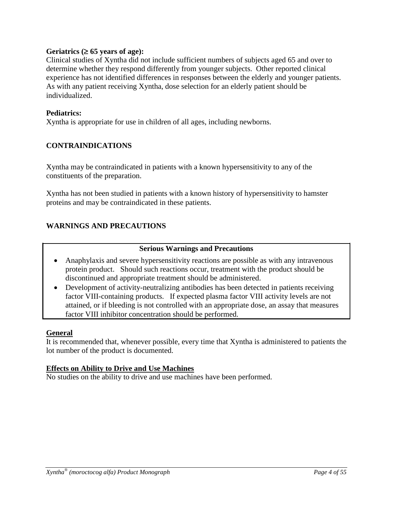### **Geriatrics (**≥ **65 years of age):**

Clinical studies of Xyntha did not include sufficient numbers of subjects aged 65 and over to determine whether they respond differently from younger subjects. Other reported clinical experience has not identified differences in responses between the elderly and younger patients. As with any patient receiving Xyntha, dose selection for an elderly patient should be individualized.

### **Pediatrics:**

Xyntha is appropriate for use in children of all ages, including newborns.

### <span id="page-3-0"></span>**CONTRAINDICATIONS**

Xyntha may be contraindicated in patients with a known hypersensitivity to any of the constituents of the preparation.

Xyntha has not been studied in patients with a known history of hypersensitivity to hamster proteins and may be contraindicated in these patients.

### <span id="page-3-1"></span>**WARNINGS AND PRECAUTIONS**

### **Serious Warnings and Precautions**

- Anaphylaxis and severe hypersensitivity reactions are possible as with any intravenous protein product. Should such reactions occur, treatment with the product should be discontinued and appropriate treatment should be administered.
- Development of activity-neutralizing antibodies has been detected in patients receiving factor VIII-containing products. If expected plasma factor VIII activity levels are not attained, or if bleeding is not controlled with an appropriate dose, an assay that measures factor VIII inhibitor concentration should be performed.

### **General**

It is recommended that, whenever possible, every time that Xyntha is administered to patients the lot number of the product is documented.

### **Effects on Ability to Drive and Use Machines**

No studies on the ability to drive and use machines have been performed.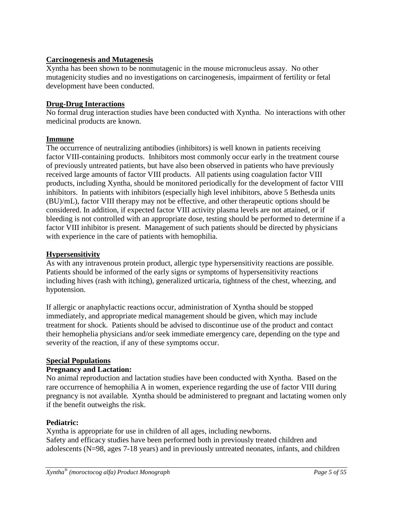## **Carcinogenesis and Mutagenesis**

Xyntha has been shown to be nonmutagenic in the mouse micronucleus assay. No other mutagenicity studies and no investigations on carcinogenesis, impairment of fertility or fetal development have been conducted.

### **Drug-Drug Interactions**

No formal drug interaction studies have been conducted with Xyntha. No interactions with other medicinal products are known.

### **Immune**

The occurrence of neutralizing antibodies (inhibitors) is well known in patients receiving factor VIII-containing products. Inhibitors most commonly occur early in the treatment course of previously untreated patients, but have also been observed in patients who have previously received large amounts of factor VIII products. All patients using coagulation factor VIII products, including Xyntha, should be monitored periodically for the development of factor VIII inhibitors. In patients with inhibitors (especially high level inhibitors, above 5 Bethesda units (BU)/mL), factor VIII therapy may not be effective, and other therapeutic options should be considered. In addition, if expected factor VIII activity plasma levels are not attained, or if bleeding is not controlled with an appropriate dose, testing should be performed to determine if a factor VIII inhibitor is present. Management of such patients should be directed by physicians with experience in the care of patients with hemophilia.

## **Hypersensitivity**

As with any intravenous protein product, allergic type hypersensitivity reactions are possible. Patients should be informed of the early signs or symptoms of hypersensitivity reactions including hives (rash with itching), generalized urticaria, tightness of the chest, wheezing, and hypotension.

If allergic or anaphylactic reactions occur, administration of Xyntha should be stopped immediately, and appropriate medical management should be given, which may include treatment for shock. Patients should be advised to discontinue use of the product and contact their hemophelia physicians and/or seek immediate emergency care, depending on the type and severity of the reaction, if any of these symptoms occur.

# **Special Populations**

### **Pregnancy and Lactation:**

No animal reproduction and lactation studies have been conducted with Xyntha. Based on the rare occurrence of hemophilia A in women, experience regarding the use of factor VIII during pregnancy is not available*.* Xyntha should be administered to pregnant and lactating women only if the benefit outweighs the risk.

### **Pediatric:**

Xyntha is appropriate for use in children of all ages, including newborns. Safety and efficacy studies have been performed both in previously treated children and adolescents (N=98, ages 7-18 years) and in previously untreated neonates, infants, and children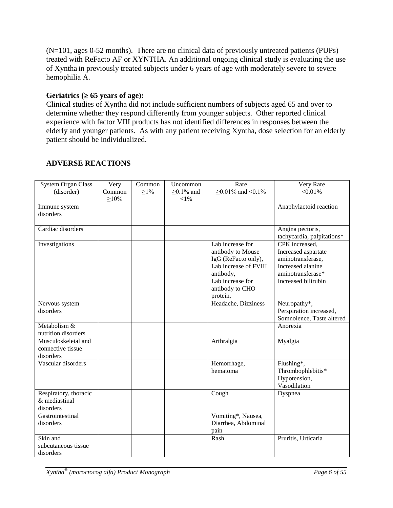(N=101, ages 0-52 months). There are no clinical data of previously untreated patients (PUPs) treated with ReFacto AF or XYNTHA. An additional ongoing clinical study is evaluating the use of Xyntha in previously treated subjects under 6 years of age with moderately severe to severe hemophilia A.

## **Geriatrics (**≥ **65 years of age):**

Clinical studies of Xyntha did not include sufficient numbers of subjects aged 65 and over to determine whether they respond differently from younger subjects. Other reported clinical experience with factor VIII products has not identified differences in responses between the elderly and younger patients. As with any patient receiving Xyntha, dose selection for an elderly patient should be individualized.

# <span id="page-5-0"></span>**ADVERSE REACTIONS**

| <b>System Organ Class</b>                             | Very                  | Common    | Uncommon                      | Rare                                                                                                                                                  | Very Rare                                                                                                                   |
|-------------------------------------------------------|-----------------------|-----------|-------------------------------|-------------------------------------------------------------------------------------------------------------------------------------------------------|-----------------------------------------------------------------------------------------------------------------------------|
| (disorder)                                            | Common<br>$\geq 10\%$ | $\geq$ 1% | $\geq$ 0.1% and<br>$<\!\!1\%$ | ≥0.01% and <0.1%                                                                                                                                      | $< 0.01\%$                                                                                                                  |
| Immune system<br>disorders                            |                       |           |                               |                                                                                                                                                       | Anaphylactoid reaction                                                                                                      |
| Cardiac disorders                                     |                       |           |                               |                                                                                                                                                       | Angina pectoris,<br>tachycardia, palpitations*                                                                              |
| Investigations                                        |                       |           |                               | Lab increase for<br>antibody to Mouse<br>IgG (ReFacto only),<br>Lab increase of FVIII<br>antibody,<br>Lab increase for<br>antibody to CHO<br>protein, | CPK increased,<br>Increased aspartate<br>aminotransferase,<br>Increased alanine<br>aminotransferase*<br>Increased bilirubin |
| Nervous system<br>disorders                           |                       |           |                               | Headache, Dizziness                                                                                                                                   | Neuropathy*,<br>Perspiration increased,<br>Somnolence, Taste altered                                                        |
| Metabolism &<br>nutrition disorders                   |                       |           |                               |                                                                                                                                                       | Anorexia                                                                                                                    |
| Musculoskeletal and<br>connective tissue<br>disorders |                       |           |                               | Arthralgia                                                                                                                                            | Myalgia                                                                                                                     |
| Vascular disorders                                    |                       |           |                               | Hemorrhage,<br>hematoma                                                                                                                               | Flushing*,<br>Thrombophlebitis*<br>Hypotension,<br>Vasodilation                                                             |
| Respiratory, thoracic<br>& mediastinal<br>disorders   |                       |           |                               | Cough                                                                                                                                                 | Dyspnea                                                                                                                     |
| Gastrointestinal<br>disorders                         |                       |           |                               | Vomiting*, Nausea,<br>Diarrhea, Abdominal<br>pain                                                                                                     |                                                                                                                             |
| Skin and<br>subcutaneous tissue<br>disorders          |                       |           |                               | Rash                                                                                                                                                  | Pruritis, Urticaria                                                                                                         |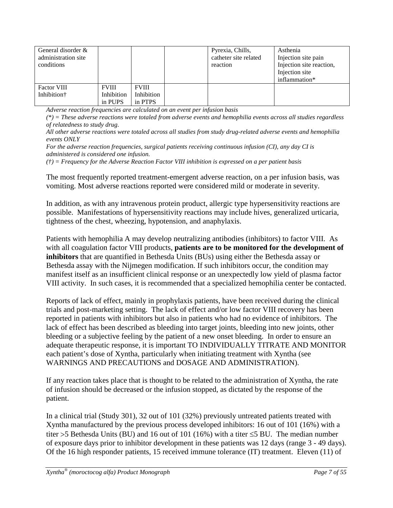| General disorder &<br>administration site<br>conditions |              |              | Pyrexia, Chills,<br>catheter site related<br>reaction | Asthenia<br>Injection site pain<br>Injection site reaction,<br>Injection site |
|---------------------------------------------------------|--------------|--------------|-------------------------------------------------------|-------------------------------------------------------------------------------|
|                                                         |              |              |                                                       | inflammation*                                                                 |
| <b>Factor VIII</b>                                      | <b>FVIII</b> | <b>FVIII</b> |                                                       |                                                                               |
| Inhibition <sup>†</sup>                                 | Inhibition   | Inhibition   |                                                       |                                                                               |
|                                                         | in PUPS      | in PTPS      |                                                       |                                                                               |

*Adverse reaction frequencies are calculated on an event per infusion basis*

*(\*) = These adverse reactions were totaled from adverse events and hemophilia events across all studies regardless of relatedness to study drug.*

*All other adverse reactions were totaled across all studies from study drug-related adverse events and hemophilia events ONLY*

*For the adverse reaction frequencies, surgical patients receiving continuous infusion (CI), any day CI is administered is considered one infusion.* 

*(†) = Frequency for the Adverse Reaction Factor VIII inhibition is expressed on a per patient basis*

The most frequently reported treatment-emergent adverse reaction, on a per infusion basis, was vomiting. Most adverse reactions reported were considered mild or moderate in severity.

In addition, as with any intravenous protein product, allergic type hypersensitivity reactions are possible. Manifestations of hypersensitivity reactions may include hives, generalized urticaria, tightness of the chest, wheezing, hypotension, and anaphylaxis.

Patients with hemophilia A may develop neutralizing antibodies (inhibitors) to factor VIII. As with all coagulation factor VIII products, **patients are to be monitored for the development of inhibitors** that are quantified in Bethesda Units (BUs) using either the Bethesda assay or Bethesda assay with the Nijmegen modification. If such inhibitors occur, the condition may manifest itself as an insufficient clinical response or an unexpectedly low yield of plasma factor VIII activity. In such cases, it is recommended that a specialized hemophilia center be contacted.

Reports of lack of effect, mainly in prophylaxis patients, have been received during the clinical trials and post-marketing setting. The lack of effect and/or low factor VIII recovery has been reported in patients with inhibitors but also in patients who had no evidence of inhibitors. The lack of effect has been described as bleeding into target joints, bleeding into new joints, other bleeding or a subjective feeling by the patient of a new onset bleeding. In order to ensure an adequate therapeutic response, it is important TO INDIVIDUALLY TITRATE AND MONITOR each patient's dose of Xyntha, particularly when initiating treatment with Xyntha (see WARNINGS AND PRECAUTIONS and DOSAGE AND ADMINISTRATION).

If any reaction takes place that is thought to be related to the administration of Xyntha, the rate of infusion should be decreased or the infusion stopped, as dictated by the response of the patient.

In a clinical trial (Study 301), 32 out of 101 (32%) previously untreated patients treated with Xyntha manufactured by the previous process developed inhibitors: 16 out of 101 (16%) with a titer >5 Bethesda Units (BU) and 16 out of 101 (16%) with a titer ≤5 BU. The median number of exposure days prior to inhibitor development in these patients was 12 days (range 3 - 49 days). Of the 16 high responder patients, 15 received immune tolerance (IT) treatment. Eleven (11) of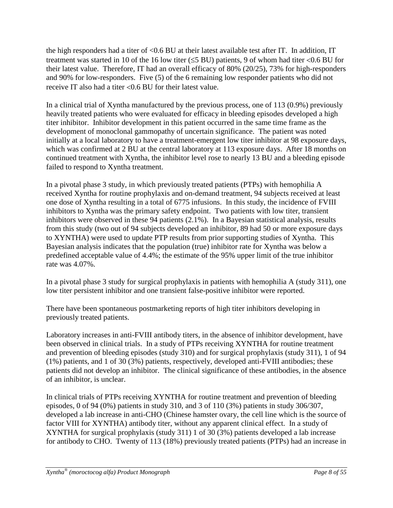the high responders had a titer of <0.6 BU at their latest available test after IT. In addition, IT treatment was started in 10 of the 16 low titer (≤5 BU) patients, 9 of whom had titer <0.6 BU for their latest value. Therefore, IT had an overall efficacy of 80% (20/25), 73% for high-responders and 90% for low-responders. Five (5) of the 6 remaining low responder patients who did not receive IT also had a titer <0.6 BU for their latest value.

In a clinical trial of Xyntha manufactured by the previous process, one of 113 (0.9%) previously heavily treated patients who were evaluated for efficacy in bleeding episodes developed a high titer inhibitor. Inhibitor development in this patient occurred in the same time frame as the development of monoclonal gammopathy of uncertain significance. The patient was noted initially at a local laboratory to have a treatment-emergent low titer inhibitor at 98 exposure days, which was confirmed at 2 BU at the central laboratory at 113 exposure days. After 18 months on continued treatment with Xyntha, the inhibitor level rose to nearly 13 BU and a bleeding episode failed to respond to Xyntha treatment.

In a pivotal phase 3 study, in which previously treated patients (PTPs) with hemophilia A received Xyntha for routine prophylaxis and on-demand treatment, 94 subjects received at least one dose of Xyntha resulting in a total of 6775 infusions. In this study, the incidence of FVIII inhibitors to Xyntha was the primary safety endpoint. Two patients with low titer, transient inhibitors were observed in these 94 patients (2.1%). In a Bayesian statistical analysis, results from this study (two out of 94 subjects developed an inhibitor, 89 had 50 or more exposure days to XYNTHA) were used to update PTP results from prior supporting studies of Xyntha. This Bayesian analysis indicates that the population (true) inhibitor rate for Xyntha was below a predefined acceptable value of 4.4%; the estimate of the 95% upper limit of the true inhibitor rate was 4.07%.

In a pivotal phase 3 study for surgical prophylaxis in patients with hemophilia A (study 311), one low titer persistent inhibitor and one transient false-positive inhibitor were reported.

There have been spontaneous postmarketing reports of high titer inhibitors developing in previously treated patients.

Laboratory increases in anti-FVIII antibody titers, in the absence of inhibitor development, have been observed in clinical trials. In a study of PTPs receiving XYNTHA for routine treatment and prevention of bleeding episodes (study 310) and for surgical prophylaxis (study 311), 1 of 94 (1%) patients, and 1 of 30 (3%) patients, respectively, developed anti-FVIII antibodies; these patients did not develop an inhibitor. The clinical significance of these antibodies, in the absence of an inhibitor, is unclear.

In clinical trials of PTPs receiving XYNTHA for routine treatment and prevention of bleeding episodes, 0 of 94 (0%) patients in study 310, and 3 of 110 (3%) patients in study 306/307, developed a lab increase in anti-CHO (Chinese hamster ovary, the cell line which is the source of factor VIII for XYNTHA) antibody titer, without any apparent clinical effect. In a study of XYNTHA for surgical prophylaxis (study 311) 1 of 30 (3%) patients developed a lab increase for antibody to CHO. Twenty of 113 (18%) previously treated patients (PTPs) had an increase in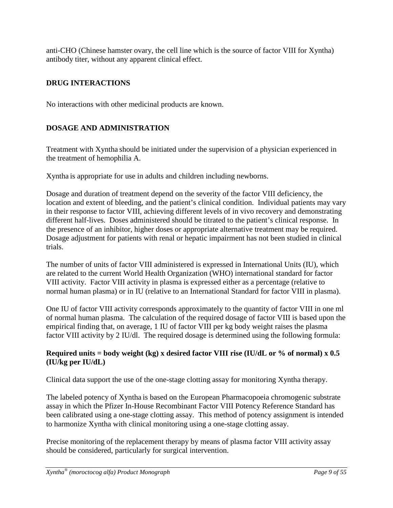anti-CHO (Chinese hamster ovary, the cell line which is the source of factor VIII for Xyntha) antibody titer, without any apparent clinical effect.

# <span id="page-8-0"></span>**DRUG INTERACTIONS**

No interactions with other medicinal products are known.

# <span id="page-8-1"></span>**DOSAGE AND ADMINISTRATION**

Treatment with Xyntha should be initiated under the supervision of a physician experienced in the treatment of hemophilia A.

Xyntha is appropriate for use in adults and children including newborns.

Dosage and duration of treatment depend on the severity of the factor VIII deficiency, the location and extent of bleeding, and the patient's clinical condition. Individual patients may vary in their response to factor VIII, achieving different levels of in vivo recovery and demonstrating different half-lives. Doses administered should be titrated to the patient's clinical response. In the presence of an inhibitor, higher doses or appropriate alternative treatment may be required. Dosage adjustment for patients with renal or hepatic impairment has not been studied in clinical trials.

The number of units of factor VIII administered is expressed in International Units (IU), which are related to the current World Health Organization (WHO) international standard for factor VIII activity. Factor VIII activity in plasma is expressed either as a percentage (relative to normal human plasma) or in IU (relative to an International Standard for factor VIII in plasma).

One IU of factor VIII activity corresponds approximately to the quantity of factor VIII in one ml of normal human plasma. The calculation of the required dosage of factor VIII is based upon the empirical finding that, on average, 1 IU of factor VIII per kg body weight raises the plasma factor VIII activity by 2 IU/dl. The required dosage is determined using the following formula:

# **Required units = body weight (kg) x desired factor VIII rise (IU/dL or % of normal) x 0.5 (IU/kg per IU/dL)**

Clinical data support the use of the one-stage clotting assay for monitoring Xyntha therapy.

The labeled potency of Xyntha is based on the European Pharmacopoeia chromogenic substrate assay in which the Pfizer In-House Recombinant Factor VIII Potency Reference Standard has been calibrated using a one-stage clotting assay. This method of potency assignment is intended to harmonize Xyntha with clinical monitoring using a one-stage clotting assay.

Precise monitoring of the replacement therapy by means of plasma factor VIII activity assay should be considered, particularly for surgical intervention.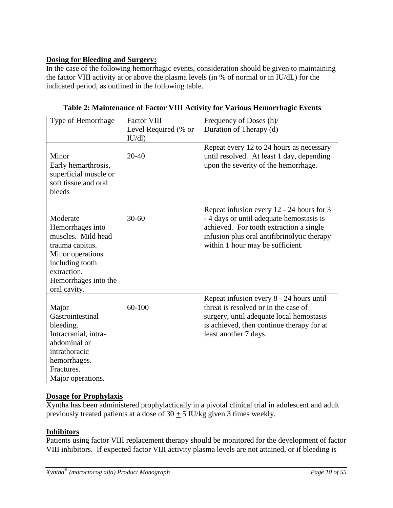# **Dosing for Bleeding and Surgery:**

In the case of the following hemorrhagic events, consideration should be given to maintaining the factor VIII activity at or above the plasma levels (in % of normal or in IU/dL) for the indicated period, as outlined in the following table.

| Type of Hemorrhage                                                                                                                                                  | <b>Factor VIII</b>   | Frequency of Doses (h)/                                                                                                                                                                                             |
|---------------------------------------------------------------------------------------------------------------------------------------------------------------------|----------------------|---------------------------------------------------------------------------------------------------------------------------------------------------------------------------------------------------------------------|
|                                                                                                                                                                     | Level Required (% or | Duration of Therapy (d)                                                                                                                                                                                             |
|                                                                                                                                                                     | IU/dl)               |                                                                                                                                                                                                                     |
| Minor<br>Early hemarthrosis,<br>superficial muscle or<br>soft tissue and oral<br>bleeds                                                                             | 20-40                | Repeat every 12 to 24 hours as necessary<br>until resolved. At least 1 day, depending<br>upon the severity of the hemorrhage.                                                                                       |
| Moderate<br>Hemorrhages into<br>muscles. Mild head<br>trauma capitus.<br>Minor operations<br>including tooth<br>extraction.<br>Hemorrhages into the<br>oral cavity. | $30 - 60$            | Repeat infusion every 12 - 24 hours for 3<br>- 4 days or until adequate hemostasis is<br>achieved. For tooth extraction a single<br>infusion plus oral antifibrinolytic therapy<br>within 1 hour may be sufficient. |
| Major<br>Gastrointestinal<br>bleeding.<br>Intracranial, intra-<br>abdominal or<br>intrathoracic<br>hemorrhages.<br>Fractures.<br>Major operations.                  | 60-100               | Repeat infusion every 8 - 24 hours until<br>threat is resolved or in the case of<br>surgery, until adequate local hemostasis<br>is achieved, then continue therapy for at<br>least another 7 days.                  |

**Table 2: Maintenance of Factor VIII Activity for Various Hemorrhagic Events**

# **Dosage for Prophylaxis**

Xyntha has been administered prophylactically in a pivotal clinical trial in adolescent and adult previously treated patients at a dose of  $30 \pm 5$  IU/kg given 3 times weekly.

# **Inhibitors**

Patients using factor VIII replacement therapy should be monitored for the development of factor VIII inhibitors. If expected factor VIII activity plasma levels are not attained, or if bleeding is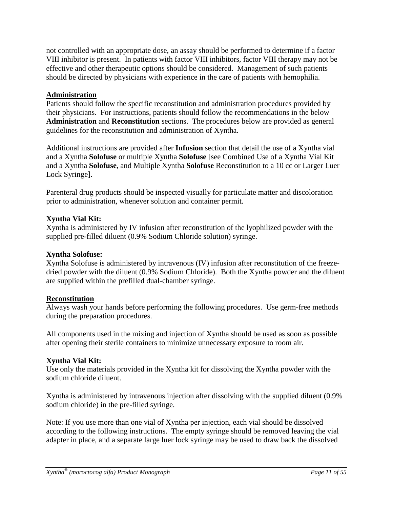not controlled with an appropriate dose, an assay should be performed to determine if a factor VIII inhibitor is present. In patients with factor VIII inhibitors, factor VIII therapy may not be effective and other therapeutic options should be considered. Management of such patients should be directed by physicians with experience in the care of patients with hemophilia.

### **Administration**

Patients should follow the specific reconstitution and administration procedures provided by their physicians. For instructions, patients should follow the recommendations in the below **Administration** and **Reconstitution** sections. The procedures below are provided as general guidelines for the reconstitution and administration of Xyntha.

Additional instructions are provided after **Infusion** section that detail the use of a Xyntha vial and a Xyntha **Solofuse** or multiple Xyntha **Solofuse** [see Combined Use of a Xyntha Vial Kit and a Xyntha **Solofuse**, and Multiple Xyntha **Solofuse** Reconstitution to a 10 cc or Larger Luer Lock Syringe].

Parenteral drug products should be inspected visually for particulate matter and discoloration prior to administration, whenever solution and container permit.

### **Xyntha Vial Kit:**

Xyntha is administered by IV infusion after reconstitution of the lyophilized powder with the supplied pre-filled diluent (0.9% Sodium Chloride solution) syringe.

### **Xyntha Solofuse:**

Xyntha Solofuse is administered by intravenous (IV) infusion after reconstitution of the freezedried powder with the diluent (0.9% Sodium Chloride). Both the Xyntha powder and the diluent are supplied within the prefilled dual-chamber syringe.

### **Reconstitution**

Always wash your hands before performing the following procedures. Use germ-free methods during the preparation procedures.

All components used in the mixing and injection of Xyntha should be used as soon as possible after opening their sterile containers to minimize unnecessary exposure to room air.

# **Xyntha Vial Kit:**

Use only the materials provided in the Xyntha kit for dissolving the Xyntha powder with the sodium chloride diluent.

Xyntha is administered by intravenous injection after dissolving with the supplied diluent (0.9% sodium chloride) in the pre-filled syringe.

Note: If you use more than one vial of Xyntha per injection, each vial should be dissolved according to the following instructions. The empty syringe should be removed leaving the vial adapter in place, and a separate large luer lock syringe may be used to draw back the dissolved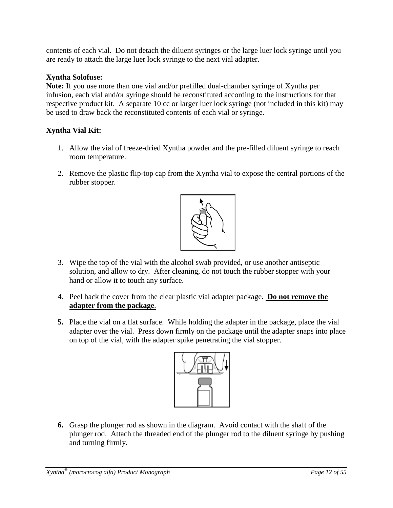contents of each vial. Do not detach the diluent syringes or the large luer lock syringe until you are ready to attach the large luer lock syringe to the next vial adapter.

# **Xyntha Solofuse:**

**Note:** If you use more than one vial and/or prefilled dual-chamber syringe of Xyntha per infusion, each vial and/or syringe should be reconstituted according to the instructions for that respective product kit. A separate 10 cc or larger luer lock syringe (not included in this kit) may be used to draw back the reconstituted contents of each vial or syringe.

# **Xyntha Vial Kit:**

- 1. Allow the vial of freeze-dried Xyntha powder and the pre-filled diluent syringe to reach room temperature.
- 2. Remove the plastic flip-top cap from the Xyntha vial to expose the central portions of the rubber stopper.



- 3. Wipe the top of the vial with the alcohol swab provided, or use another antiseptic solution, and allow to dry. After cleaning, do not touch the rubber stopper with your hand or allow it to touch any surface.
- 4. Peel back the cover from the clear plastic vial adapter package. **Do not remove the adapter from the package**.
- **5.** Place the vial on a flat surface. While holding the adapter in the package, place the vial adapter over the vial. Press down firmly on the package until the adapter snaps into place on top of the vial, with the adapter spike penetrating the vial stopper.



**6.** Grasp the plunger rod as shown in the diagram. Avoid contact with the shaft of the plunger rod. Attach the threaded end of the plunger rod to the diluent syringe by pushing and turning firmly.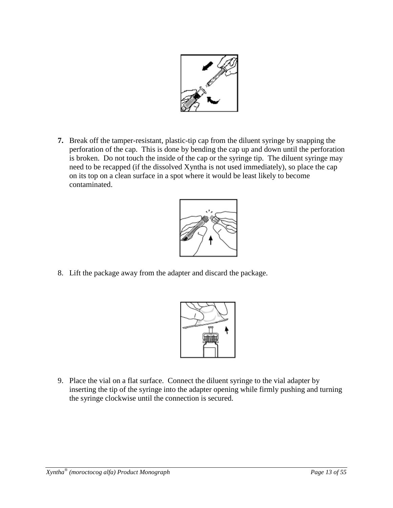

**7.** Break off the tamper-resistant, plastic-tip cap from the diluent syringe by snapping the perforation of the cap. This is done by bending the cap up and down until the perforation is broken. Do not touch the inside of the cap or the syringe tip. The diluent syringe may need to be recapped (if the dissolved Xyntha is not used immediately), so place the cap on its top on a clean surface in a spot where it would be least likely to become contaminated.



8. Lift the package away from the adapter and discard the package.



9. Place the vial on a flat surface. Connect the diluent syringe to the vial adapter by inserting the tip of the syringe into the adapter opening while firmly pushing and turning the syringe clockwise until the connection is secured.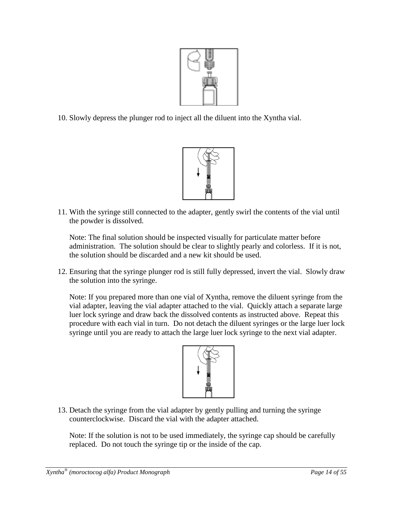

10. Slowly depress the plunger rod to inject all the diluent into the Xyntha vial.



11. With the syringe still connected to the adapter, gently swirl the contents of the vial until the powder is dissolved.

Note: The final solution should be inspected visually for particulate matter before administration. The solution should be clear to slightly pearly and colorless. If it is not, the solution should be discarded and a new kit should be used.

12. Ensuring that the syringe plunger rod is still fully depressed, invert the vial. Slowly draw the solution into the syringe.

Note: If you prepared more than one vial of Xyntha, remove the diluent syringe from the vial adapter, leaving the vial adapter attached to the vial. Quickly attach a separate large luer lock syringe and draw back the dissolved contents as instructed above. Repeat this procedure with each vial in turn. Do not detach the diluent syringes or the large luer lock syringe until you are ready to attach the large luer lock syringe to the next vial adapter.



13. Detach the syringe from the vial adapter by gently pulling and turning the syringe counterclockwise. Discard the vial with the adapter attached.

Note: If the solution is not to be used immediately, the syringe cap should be carefully replaced. Do not touch the syringe tip or the inside of the cap.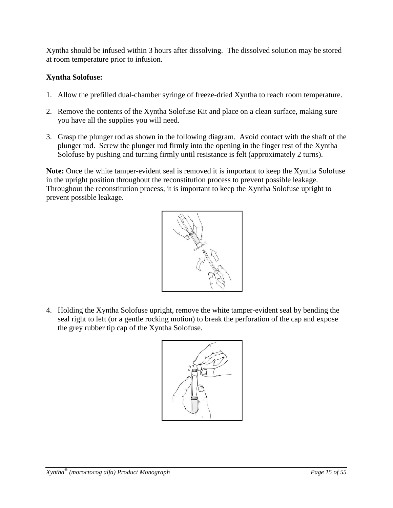Xyntha should be infused within 3 hours after dissolving. The dissolved solution may be stored at room temperature prior to infusion.

# **Xyntha Solofuse:**

- 1. Allow the prefilled dual-chamber syringe of freeze-dried Xyntha to reach room temperature.
- 2. Remove the contents of the Xyntha Solofuse Kit and place on a clean surface, making sure you have all the supplies you will need.
- 3. Grasp the plunger rod as shown in the following diagram. Avoid contact with the shaft of the plunger rod. Screw the plunger rod firmly into the opening in the finger rest of the Xyntha Solofuse by pushing and turning firmly until resistance is felt (approximately 2 turns).

**Note:** Once the white tamper-evident seal is removed it is important to keep the Xyntha Solofuse in the upright position throughout the reconstitution process to prevent possible leakage. Throughout the reconstitution process, it is important to keep the Xyntha Solofuse upright to prevent possible leakage.



4. Holding the Xyntha Solofuse upright, remove the white tamper-evident seal by bending the seal right to left (or a gentle rocking motion) to break the perforation of the cap and expose the grey rubber tip cap of the Xyntha Solofuse.

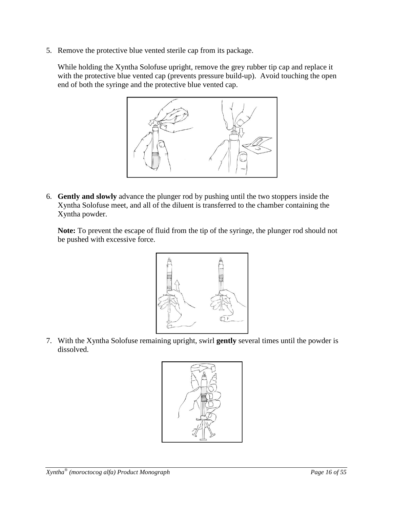5. Remove the protective blue vented sterile cap from its package.

While holding the Xyntha Solofuse upright, remove the grey rubber tip cap and replace it with the protective blue vented cap (prevents pressure build-up). Avoid touching the open end of both the syringe and the protective blue vented cap.



6. **Gently and slowly** advance the plunger rod by pushing until the two stoppers inside the Xyntha Solofuse meet, and all of the diluent is transferred to the chamber containing the Xyntha powder.

**Note:** To prevent the escape of fluid from the tip of the syringe, the plunger rod should not be pushed with excessive force.



7. With the Xyntha Solofuse remaining upright, swirl **gently** several times until the powder is dissolved.

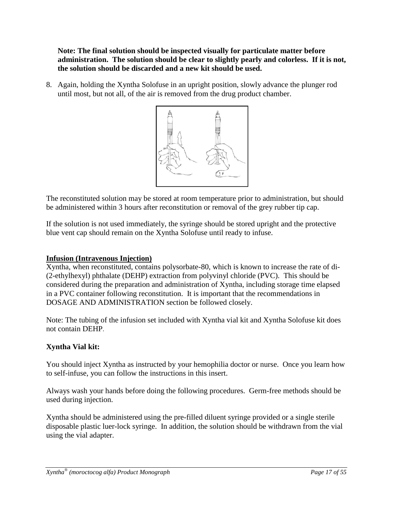**Note: The final solution should be inspected visually for particulate matter before administration. The solution should be clear to slightly pearly and colorless. If it is not, the solution should be discarded and a new kit should be used.**

8. Again, holding the Xyntha Solofuse in an upright position, slowly advance the plunger rod until most, but not all, of the air is removed from the drug product chamber.



The reconstituted solution may be stored at room temperature prior to administration, but should be administered within 3 hours after reconstitution or removal of the grey rubber tip cap.

If the solution is not used immediately, the syringe should be stored upright and the protective blue vent cap should remain on the Xyntha Solofuse until ready to infuse.

# **Infusion (Intravenous Injection)**

Xyntha, when reconstituted, contains polysorbate-80, which is known to increase the rate of di- (2-ethylhexyl) phthalate (DEHP) extraction from polyvinyl chloride (PVC). This should be considered during the preparation and administration of Xyntha, including storage time elapsed in a PVC container following reconstitution. It is important that the recommendations in DOSAGE AND ADMINISTRATION section be followed closely.

Note: The tubing of the infusion set included with Xyntha vial kit and Xyntha Solofuse kit does not contain DEHP.

# **Xyntha Vial kit:**

You should inject Xyntha as instructed by your hemophilia doctor or nurse. Once you learn how to self-infuse, you can follow the instructions in this insert.

Always wash your hands before doing the following procedures. Germ-free methods should be used during injection.

Xyntha should be administered using the pre-filled diluent syringe provided or a single sterile disposable plastic luer-lock syringe. In addition, the solution should be withdrawn from the vial using the vial adapter.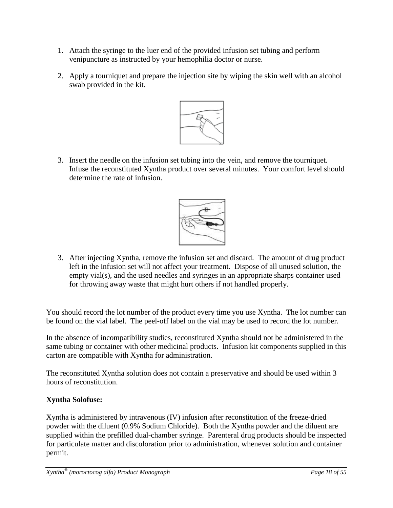- 1. Attach the syringe to the luer end of the provided infusion set tubing and perform venipuncture as instructed by your hemophilia doctor or nurse.
- 2. Apply a tourniquet and prepare the injection site by wiping the skin well with an alcohol swab provided in the kit.



3. Insert the needle on the infusion set tubing into the vein, and remove the tourniquet. Infuse the reconstituted Xyntha product over several minutes. Your comfort level should determine the rate of infusion.



3. After injecting Xyntha, remove the infusion set and discard. The amount of drug product left in the infusion set will not affect your treatment. Dispose of all unused solution, the empty vial(s), and the used needles and syringes in an appropriate sharps container used for throwing away waste that might hurt others if not handled properly.

You should record the lot number of the product every time you use Xyntha. The lot number can be found on the vial label. The peel-off label on the vial may be used to record the lot number.

In the absence of incompatibility studies, reconstituted Xyntha should not be administered in the same tubing or container with other medicinal products. Infusion kit components supplied in this carton are compatible with Xyntha for administration.

The reconstituted Xyntha solution does not contain a preservative and should be used within 3 hours of reconstitution.

# **Xyntha Solofuse:**

Xyntha is administered by intravenous (IV) infusion after reconstitution of the freeze-dried powder with the diluent (0.9% Sodium Chloride). Both the Xyntha powder and the diluent are supplied within the prefilled dual-chamber syringe. Parenteral drug products should be inspected for particulate matter and discoloration prior to administration, whenever solution and container permit.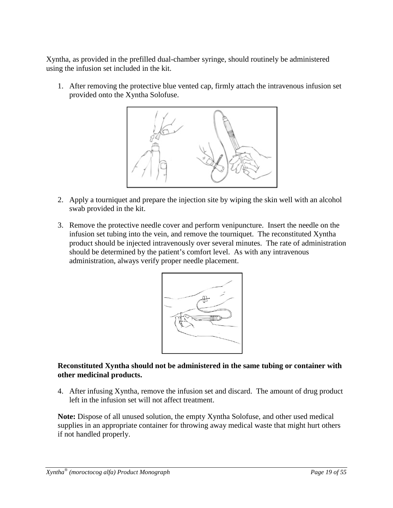Xyntha, as provided in the prefilled dual-chamber syringe, should routinely be administered using the infusion set included in the kit.

1. After removing the protective blue vented cap, firmly attach the intravenous infusion set provided onto the Xyntha Solofuse.



- 2. Apply a tourniquet and prepare the injection site by wiping the skin well with an alcohol swab provided in the kit.
- 3. Remove the protective needle cover and perform venipuncture. Insert the needle on the infusion set tubing into the vein, and remove the tourniquet. The reconstituted Xyntha product should be injected intravenously over several minutes. The rate of administration should be determined by the patient's comfort level. As with any intravenous administration, always verify proper needle placement.



### **Reconstituted Xyntha should not be administered in the same tubing or container with other medicinal products.**

4. After infusing Xyntha, remove the infusion set and discard. The amount of drug product left in the infusion set will not affect treatment.

**Note:** Dispose of all unused solution, the empty Xyntha Solofuse, and other used medical supplies in an appropriate container for throwing away medical waste that might hurt others if not handled properly.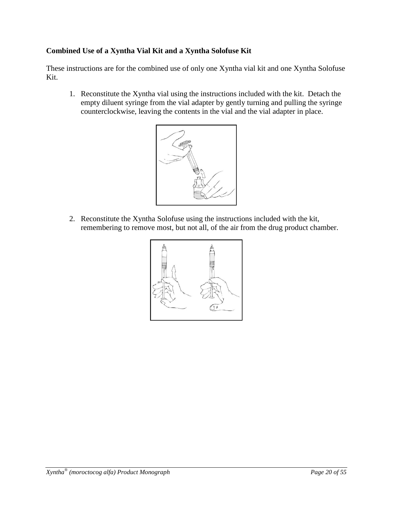# **Combined Use of a Xyntha Vial Kit and a Xyntha Solofuse Kit**

These instructions are for the combined use of only one Xyntha vial kit and one Xyntha Solofuse Kit.

1. Reconstitute the Xyntha vial using the instructions included with the kit. Detach the empty diluent syringe from the vial adapter by gently turning and pulling the syringe counterclockwise, leaving the contents in the vial and the vial adapter in place.



2. Reconstitute the Xyntha Solofuse using the instructions included with the kit, remembering to remove most, but not all, of the air from the drug product chamber.

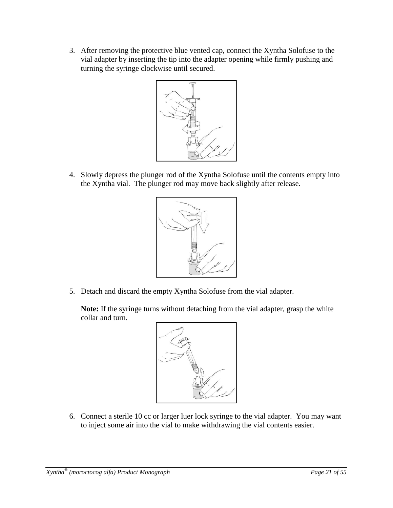3. After removing the protective blue vented cap, connect the Xyntha Solofuse to the vial adapter by inserting the tip into the adapter opening while firmly pushing and turning the syringe clockwise until secured.



4. Slowly depress the plunger rod of the Xyntha Solofuse until the contents empty into the Xyntha vial. The plunger rod may move back slightly after release.



5. Detach and discard the empty Xyntha Solofuse from the vial adapter.

**Note:** If the syringe turns without detaching from the vial adapter, grasp the white collar and turn.



6. Connect a sterile 10 cc or larger luer lock syringe to the vial adapter. You may want to inject some air into the vial to make withdrawing the vial contents easier.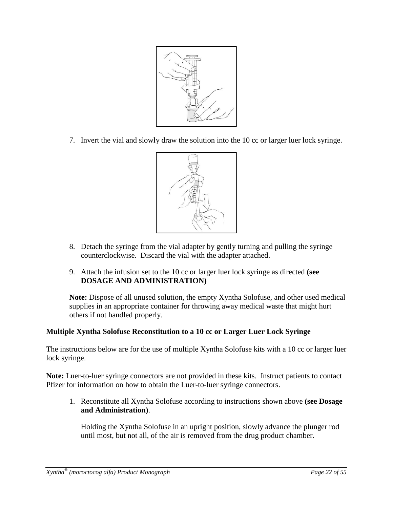

7. Invert the vial and slowly draw the solution into the 10 cc or larger luer lock syringe.



- 8. Detach the syringe from the vial adapter by gently turning and pulling the syringe counterclockwise. Discard the vial with the adapter attached.
- 9. Attach the infusion set to the 10 cc or larger luer lock syringe as directed **(see DOSAGE AND ADMINISTRATION)**

**Note:** Dispose of all unused solution, the empty Xyntha Solofuse, and other used medical supplies in an appropriate container for throwing away medical waste that might hurt others if not handled properly.

# **Multiple Xyntha Solofuse Reconstitution to a 10 cc or Larger Luer Lock Syringe**

The instructions below are for the use of multiple Xyntha Solofuse kits with a 10 cc or larger luer lock syringe.

**Note:** Luer-to-luer syringe connectors are not provided in these kits. Instruct patients to contact Pfizer for information on how to obtain the Luer-to-luer syringe connectors.

1. Reconstitute all Xyntha Solofuse according to instructions shown above **(see Dosage and Administration)**.

Holding the Xyntha Solofuse in an upright position, slowly advance the plunger rod until most, but not all, of the air is removed from the drug product chamber.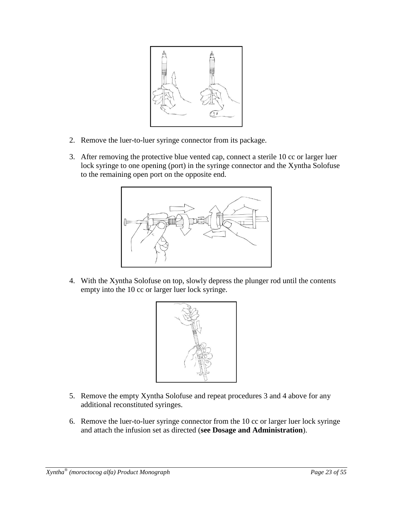

- 2. Remove the luer-to-luer syringe connector from its package.
- 3. After removing the protective blue vented cap, connect a sterile 10 cc or larger luer lock syringe to one opening (port) in the syringe connector and the Xyntha Solofuse to the remaining open port on the opposite end.



4. With the Xyntha Solofuse on top, slowly depress the plunger rod until the contents empty into the 10 cc or larger luer lock syringe.



- 5. Remove the empty Xyntha Solofuse and repeat procedures 3 and 4 above for any additional reconstituted syringes.
- 6. Remove the luer-to-luer syringe connector from the 10 cc or larger luer lock syringe and attach the infusion set as directed (**see Dosage and Administration**).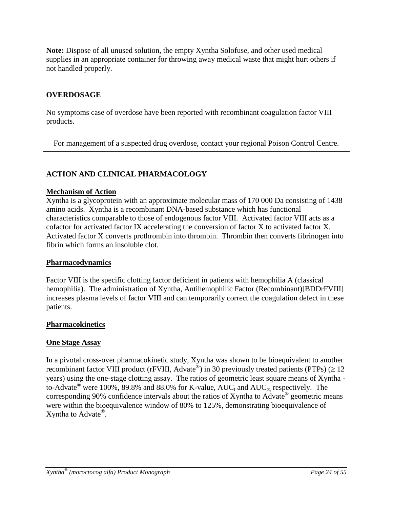**Note:** Dispose of all unused solution, the empty Xyntha Solofuse, and other used medical supplies in an appropriate container for throwing away medical waste that might hurt others if not handled properly.

## <span id="page-23-0"></span>**OVERDOSAGE**

No symptoms case of overdose have been reported with recombinant coagulation factor VIII products.

For management of a suspected drug overdose, contact your regional Poison Control Centre.

### <span id="page-23-1"></span>**ACTION AND CLINICAL PHARMACOLOGY**

### **Mechanism of Action**

Xyntha is a glycoprotein with an approximate molecular mass of 170 000 Da consisting of 1438 amino acids. Xyntha is a recombinant DNA-based substance which has functional characteristics comparable to those of endogenous factor VIII. Activated factor VIII acts as a cofactor for activated factor IX accelerating the conversion of factor X to activated factor X. Activated factor X converts prothrombin into thrombin. Thrombin then converts fibrinogen into fibrin which forms an insoluble clot.

### **Pharmacodynamics**

Factor VIII is the specific clotting factor deficient in patients with hemophilia A (classical hemophilia). The administration of Xyntha, Antihemophilic Factor (Recombinant)[BDDrFVIII] increases plasma levels of factor VIII and can temporarily correct the coagulation defect in these patients.

### **Pharmacokinetics**

### **One Stage Assay**

In a pivotal cross-over pharmacokinetic study, Xyntha was shown to be bioequivalent to another recombinant factor VIII product (rFVIII, Advate<sup>®</sup>) in 30 previously treated patients (PTPs) ( $\geq$  12 years) using the one-stage clotting assay. The ratios of geometric least square means of Xyntha to-Advate<sup>®</sup> were 100%, 89.8% and 88.0% for K-value, AUC<sub>t</sub> and AUC<sub>∞</sub> respectively. The corresponding 90% confidence intervals about the ratios of Xyntha to Advate<sup>®</sup> geometric means were within the bioequivalence window of 80% to 125%, demonstrating bioequivalence of Xyntha to Advate<sup>®</sup>.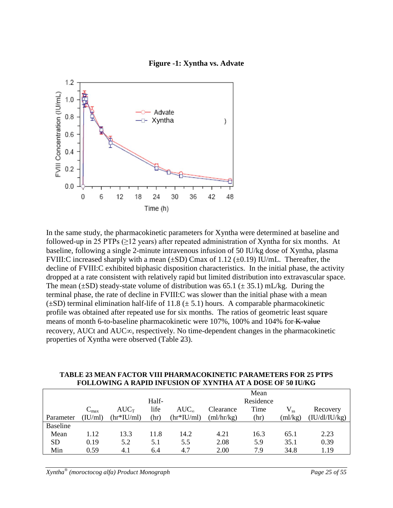



In the same study, the pharmacokinetic parameters for Xyntha were determined at baseline and followed-up in 25 PTPs ( $\geq$ 12 years) after repeated administration of Xyntha for six months. At baseline, following a single 2-minute intravenous infusion of 50 IU/kg dose of Xyntha, plasma FVIII:C increased sharply with a mean  $(\pm SD)$  Cmax of 1.12  $(\pm 0.19)$  IU/mL. Thereafter, the decline of FVIII:C exhibited biphasic disposition characteristics. In the initial phase, the activity dropped at a rate consistent with relatively rapid but limited distribution into extravascular space. The mean ( $\pm$ SD) steady-state volume of distribution was 65.1 ( $\pm$  35.1) mL/kg. During the terminal phase, the rate of decline in FVIII:C was slower than the initial phase with a mean  $(\pm SD)$  terminal elimination half-life of 11.8 ( $\pm$  5.1) hours. A comparable pharmacokinetic profile was obtained after repeated use for six months. The ratios of geometric least square means of month 6-to-baseline pharmacokinetic were 107%, 100% and 104% for K-value recovery, AUCt and AUC∞, respectively. No time-dependent changes in the pharmacokinetic properties of Xyntha were observed (Table 23).

|                 | TODDO MARO A IWALID ARE COIOR OF ATHLITA AT A DOOD OF JV IU/IW |                    |       |                |            |           |         |               |
|-----------------|----------------------------------------------------------------|--------------------|-------|----------------|------------|-----------|---------|---------------|
|                 |                                                                |                    |       |                |            | Mean      |         |               |
|                 |                                                                |                    | Half- |                |            | Residence |         |               |
|                 | $C_{\text{max}}$                                               | $AUC_T$            | life  | $AUC_{\infty}$ | Clearance  | Time      |         | Recovery      |
| Parameter       | (IU/ml)                                                        | $\frac{hr*IU}{ml}$ | (hr   | $(hr*IU/ml)$   | (ml/hr/kg) | (hr)      | (ml/kg) | (IU/dI/IU/kg) |
| <b>Baseline</b> |                                                                |                    |       |                |            |           |         |               |
| Mean            | 1.12                                                           | 13.3               | 11.8  | 14.2           | 4.21       | 16.3      | 65.1    | 2.23          |
| <b>SD</b>       | 0.19                                                           | 5.2                | 5.1   | 5.5            | 2.08       | 5.9       | 35.1    | 0.39          |
| Min             | 0.59                                                           | 4.1                | 6.4   | 4.7            | 2.00       | 7.9       | 34.8    | 1.19          |

### **TABLE 23 MEAN FACTOR VIII PHARMACOKINETIC PARAMETERS FOR 25 PTPS FOLLOWING A RAPID INFUSION OF XYNTHA AT A DOSE OF 50 IU/KG**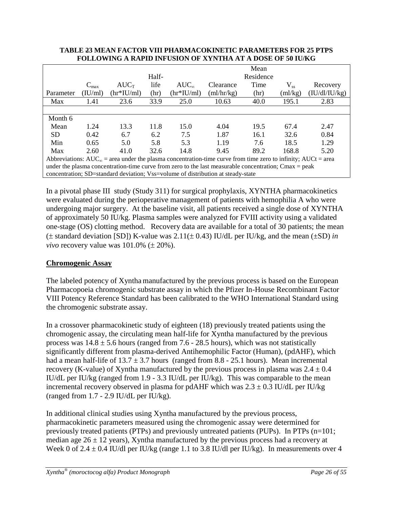|                                                                                                                         |                  |              |       |                                                                                  |                    | Mean      |                |               |
|-------------------------------------------------------------------------------------------------------------------------|------------------|--------------|-------|----------------------------------------------------------------------------------|--------------------|-----------|----------------|---------------|
|                                                                                                                         |                  |              | Half- |                                                                                  |                    | Residence |                |               |
|                                                                                                                         | $C_{\text{max}}$ | $AUC_T$      | life  | $AUC_{\infty}$                                                                   | Clearance          | Time      | $\rm V_{ss}$   | Recovery      |
| Parameter                                                                                                               | (IU/ml)          | $(hr*IU/ml)$ | (hr)  | $(hr*IU/ml)$                                                                     | $\text{m}$ /hr/kg) | (hr)      | $\text{m1/kg}$ | (IU/dI/IU/kg) |
| Max                                                                                                                     | 1.41             | 23.6         | 33.9  | 25.0                                                                             | 10.63              | 40.0      | 195.1          | 2.83          |
|                                                                                                                         |                  |              |       |                                                                                  |                    |           |                |               |
| Month 6                                                                                                                 |                  |              |       |                                                                                  |                    |           |                |               |
| Mean                                                                                                                    | 1.24             | 13.3         | 11.8  | 15.0                                                                             | 4.04               | 19.5      | 67.4           | 2.47          |
| <b>SD</b>                                                                                                               | 0.42             | 6.7          | 6.2   | 7.5                                                                              | 1.87               | 16.1      | 32.6           | 0.84          |
| Min                                                                                                                     | 0.65             | 5.0          | 5.8   | 5.3                                                                              | 1.19               | 7.6       | 18.5           | 1.29          |
| Max                                                                                                                     | 2.60             | 41.0         | 32.6  | 14.8                                                                             | 9.45               | 89.2      | 168.8          | 5.20          |
| Abbreviations: $AUC_{\infty}$ = area under the plasma concentration-time curve from time zero to infinity; $AUC =$ area |                  |              |       |                                                                                  |                    |           |                |               |
| under the plasma concentration-time curve from zero to the last measurable concentration; Cmax = peak                   |                  |              |       |                                                                                  |                    |           |                |               |
|                                                                                                                         |                  |              |       | concentration; SD=standard deviation; Vss=volume of distribution at steady-state |                    |           |                |               |

#### **TABLE 23 MEAN FACTOR VIII PHARMACOKINETIC PARAMETERS FOR 25 PTPS FOLLOWING A RAPID INFUSION OF XYNTHA AT A DOSE OF 50 IU/KG**

In a pivotal phase III study (Study 311) for surgical prophylaxis, XYNTHA pharmacokinetics were evaluated during the perioperative management of patients with hemophilia A who were undergoing major surgery. At the baseline visit, all patients received a single dose of XYNTHA of approximately 50 IU/kg. Plasma samples were analyzed for FVIII activity using a validated one-stage (OS) clotting method. Recovery data are available for a total of 30 patients; the mean (± standard deviation [SD]) K-value was 2.11(± 0.43) IU/dL per IU/kg, and the mean (±SD) *in vivo* recovery value was  $101.0\%$  ( $\pm$  20%).

# **Chromogenic Assay**

The labeled potency of Xyntha manufactured by the previous process is based on the European Pharmacopoeia chromogenic substrate assay in which the Pfizer In-House Recombinant Factor VIII Potency Reference Standard has been calibrated to the WHO International Standard using the chromogenic substrate assay.

In a crossover pharmacokinetic study of eighteen (18) previously treated patients using the chromogenic assay, the circulating mean half-life for Xyntha manufactured by the previous process was  $14.8 \pm 5.6$  hours (ranged from 7.6 - 28.5 hours), which was not statistically significantly different from plasma-derived Antihemophilic Factor (Human), (pdAHF), which had a mean half-life of  $13.7 \pm 3.7$  hours (ranged from 8.8 - 25.1 hours). Mean incremental recovery (K-value) of Xyntha manufactured by the previous process in plasma was  $2.4 \pm 0.4$ IU/dL per IU/kg (ranged from 1.9 - 3.3 IU/dL per IU/kg). This was comparable to the mean incremental recovery observed in plasma for pdAHF which was  $2.3 \pm 0.3$  IU/dL per IU/kg (ranged from 1.7 - 2.9 IU/dL per IU/kg).

In additional clinical studies using Xyntha manufactured by the previous process, pharmacokinetic parameters measured using the chromogenic assay were determined for previously treated patients (PTPs) and previously untreated patients (PUPs). In PTPs (n=101; median age  $26 \pm 12$  years), Xyntha manufactured by the previous process had a recovery at Week 0 of 2.4  $\pm$  0.4 IU/dl per IU/kg (range 1.1 to 3.8 IU/dl per IU/kg). In measurements over 4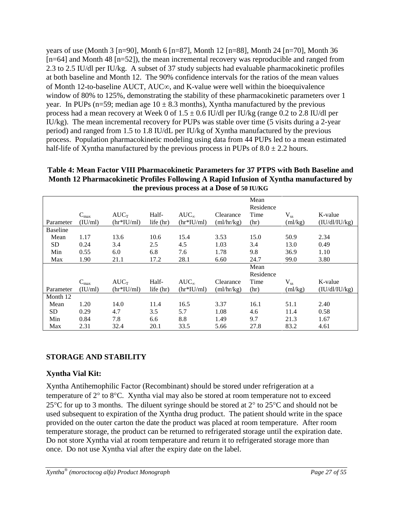years of use (Month 3 [n=90], Month 6 [n=87], Month 12 [n=88], Month 24 [n=70], Month 36 [n=64] and Month 48 [n=52]), the mean incremental recovery was reproducible and ranged from 2.3 to 2.5 IU/dl per IU/kg. A subset of 37 study subjects had evaluable pharmacokinetic profiles at both baseline and Month 12. The 90% confidence intervals for the ratios of the mean values of Month 12-to-baseline AUCT, AUC∞, and K-value were well within the bioequivalence window of 80% to 125%, demonstrating the stability of these pharmacokinetic parameters over 1 year. In PUPs (n=59; median age  $10 \pm 8.3$  months), Xyntha manufactured by the previous process had a mean recovery at Week 0 of  $1.5 \pm 0.6$  IU/dl per IU/kg (range 0.2 to 2.8 IU/dl per IU/kg). The mean incremental recovery for PUPs was stable over time (5 visits during a 2-year period) and ranged from 1.5 to 1.8 IU/dL per IU/kg of Xyntha manufactured by the previous process. Population pharmacokinetic modeling using data from 44 PUPs led to a mean estimated half-life of Xyntha manufactured by the previous process in PUPs of  $8.0 \pm 2.2$  hours.

**Table 4: Mean Factor VIII Pharmacokinetic Parameters for 37 PTPS with Both Baseline and Month 12 Pharmacokinetic Profiles Following A Rapid Infusion of Xyntha manufactured by the previous process at a Dose of 50 IU/KG**

|                 |                             | $AUC_T$      | Half-       | $AUC_{\infty}$ | Clearance  | Mean<br>Residence<br>Time | $V_{ss}$       | K-value       |
|-----------------|-----------------------------|--------------|-------------|----------------|------------|---------------------------|----------------|---------------|
| Parameter       | $C_{\text{max}}$<br>(IU/ml) | $(hr*IU/ml)$ | life $(hr)$ | $(hr*IU/ml)$   | (ml/hr/kg) | (hr)                      | (ml/kg)        | (IU/dI/IU/kg) |
| <b>Baseline</b> |                             |              |             |                |            |                           |                |               |
| Mean            | 1.17                        | 13.6         | 10.6        | 15.4           | 3.53       | 15.0                      | 50.9           | 2.34          |
| <b>SD</b>       | 0.24                        | 3.4          | 2.5         | 4.5            | 1.03       | 3.4                       | 13.0           | 0.49          |
| Min             | 0.55                        | 6.0          | 6.8         | 7.6            | 1.78       | 9.8                       | 36.9           | 1.10          |
| Max             | 1.90                        | 21.1         | 17.2        | 28.1           | 6.60       | 24.7                      | 99.0           | 3.80          |
|                 |                             |              |             |                |            | Mean                      |                |               |
|                 |                             |              |             |                |            | Residence                 |                |               |
|                 | $C_{max}$                   | $AUC_T$      | Half-       | $AUC_{\infty}$ | Clearance  | Time                      | $V_{ss}$       | K-value       |
| Parameter       | (IU/ml)                     | $(hr*IU/ml)$ | life $(hr)$ | $(hr*IU/ml)$   | (ml/hr/kg) | (hr)                      | $\text{m1/kg}$ | (IU/dI/IU/kg) |
| Month 12        |                             |              |             |                |            |                           |                |               |
| Mean            | 1.20                        | 14.0         | 11.4        | 16.5           | 3.37       | 16.1                      | 51.1           | 2.40          |
| <b>SD</b>       | 0.29                        | 4.7          | 3.5         | 5.7            | 1.08       | 4.6                       | 11.4           | 0.58          |
| Min             | 0.84                        | 7.8          | 6.6         | 8.8            | 1.49       | 9.7                       | 21.3           | 1.67          |
| Max             | 2.31                        | 32.4         | 20.1        | 33.5           | 5.66       | 27.8                      | 83.2           | 4.61          |

# <span id="page-26-0"></span>**STORAGE AND STABILITY**

# **Xyntha Vial Kit:**

Xyntha Antihemophilic Factor (Recombinant) should be stored under refrigeration at a temperature of 2° to 8°C. Xyntha vial may also be stored at room temperature not to exceed 25°C for up to 3 months. The diluent syringe should be stored at 2° to 25°C and should not be used subsequent to expiration of the Xyntha drug product. The patient should write in the space provided on the outer carton the date the product was placed at room temperature. After room temperature storage, the product can be returned to refrigerated storage until the expiration date. Do not store Xyntha vial at room temperature and return it to refrigerated storage more than once. Do not use Xyntha vial after the expiry date on the label.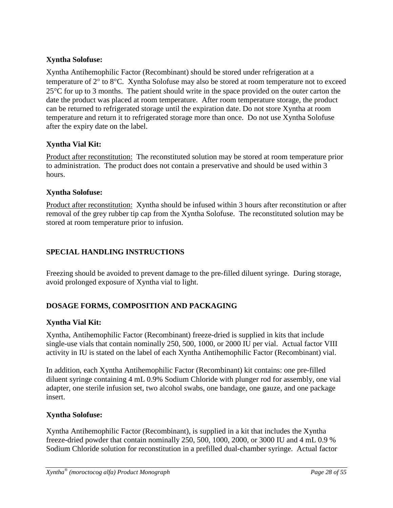# **Xyntha Solofuse:**

Xyntha Antihemophilic Factor (Recombinant) should be stored under refrigeration at a temperature of 2° to 8°C. Xyntha Solofuse may also be stored at room temperature not to exceed  $25^{\circ}$ C for up to 3 months. The patient should write in the space provided on the outer carton the date the product was placed at room temperature. After room temperature storage, the product can be returned to refrigerated storage until the expiration date. Do not store Xyntha at room temperature and return it to refrigerated storage more than once. Do not use Xyntha Solofuse after the expiry date on the label.

# **Xyntha Vial Kit:**

Product after reconstitution: The reconstituted solution may be stored at room temperature prior to administration. The product does not contain a preservative and should be used within 3 hours.

# **Xyntha Solofuse:**

Product after reconstitution: Xyntha should be infused within 3 hours after reconstitution or after removal of the grey rubber tip cap from the Xyntha Solofuse. The reconstituted solution may be stored at room temperature prior to infusion.

# **SPECIAL HANDLING INSTRUCTIONS**

Freezing should be avoided to prevent damage to the pre-filled diluent syringe. During storage, avoid prolonged exposure of Xyntha vial to light.

# **DOSAGE FORMS, COMPOSITION AND PACKAGING**

# **Xyntha Vial Kit:**

Xyntha, Antihemophilic Factor (Recombinant) freeze-dried is supplied in kits that include single-use vials that contain nominally 250, 500, 1000, or 2000 IU per vial. Actual factor VIII activity in IU is stated on the label of each Xyntha Antihemophilic Factor (Recombinant) vial.

In addition, each Xyntha Antihemophilic Factor (Recombinant) kit contains: one pre-filled diluent syringe containing 4 mL 0.9% Sodium Chloride with plunger rod for assembly, one vial adapter, one sterile infusion set, two alcohol swabs, one bandage, one gauze, and one package insert.

# **Xyntha Solofuse:**

Xyntha Antihemophilic Factor (Recombinant), is supplied in a kit that includes the Xyntha freeze-dried powder that contain nominally 250, 500, 1000, 2000, or 3000 IU and 4 mL 0.9 % Sodium Chloride solution for reconstitution in a prefilled dual-chamber syringe. Actual factor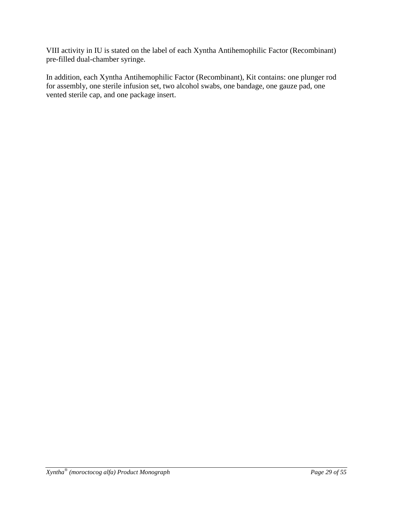VIII activity in IU is stated on the label of each Xyntha Antihemophilic Factor (Recombinant) pre-filled dual-chamber syringe.

In addition, each Xyntha Antihemophilic Factor (Recombinant), Kit contains: one plunger rod for assembly, one sterile infusion set, two alcohol swabs, one bandage, one gauze pad, one vented sterile cap, and one package insert.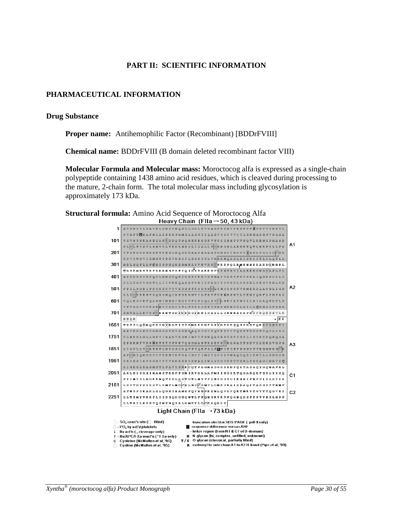### **PART II: SCIENTIFIC INFORMATION**

### <span id="page-29-1"></span><span id="page-29-0"></span>**PHARMACEUTICAL INFORMATION**

### **Drug Substance**

**Proper name:** Antihemophilic Factor (Recombinant) [BDDrFVIII]

**Chemical name:** BDDrFVIII (B domain deleted recombinant factor VIII)

**Molecular Formula and Molecular mass:** Moroctocog alfa is expressed as a single-chain polypeptide containing 1438 amino acid residues, which is cleaved during processing to the mature, 2-chain form. The total molecular mass including glycosylation is approximately 173 kDa.



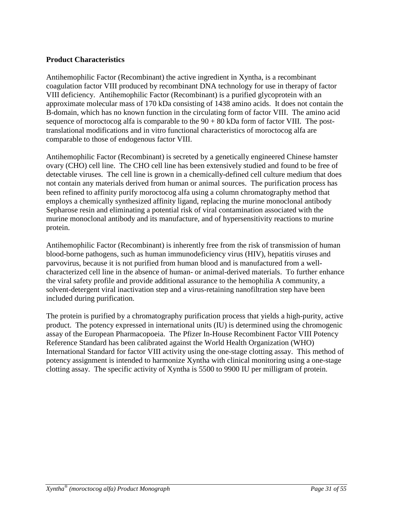### **Product Characteristics**

Antihemophilic Factor (Recombinant) the active ingredient in Xyntha, is a recombinant coagulation factor VIII produced by recombinant DNA technology for use in therapy of factor VIII deficiency. Antihemophilic Factor (Recombinant) is a purified glycoprotein with an approximate molecular mass of 170 kDa consisting of 1438 amino acids. It does not contain the B-domain, which has no known function in the circulating form of factor VIII. The amino acid sequence of moroctocog alfa is comparable to the  $90 + 80$  kDa form of factor VIII. The posttranslational modifications and in vitro functional characteristics of moroctocog alfa are comparable to those of endogenous factor VIII.

Antihemophilic Factor (Recombinant) is secreted by a genetically engineered Chinese hamster ovary (CHO) cell line. The CHO cell line has been extensively studied and found to be free of detectable viruses. The cell line is grown in a chemically-defined cell culture medium that does not contain any materials derived from human or animal sources. The purification process has been refined to affinity purify moroctocog alfa using a column chromatography method that employs a chemically synthesized affinity ligand, replacing the murine monoclonal antibody Sepharose resin and eliminating a potential risk of viral contamination associated with the murine monoclonal antibody and its manufacture, and of hypersensitivity reactions to murine protein.

Antihemophilic Factor (Recombinant) is inherently free from the risk of transmission of human blood-borne pathogens, such as human immunodeficiency virus (HIV), hepatitis viruses and parvovirus, because it is not purified from human blood and is manufactured from a wellcharacterized cell line in the absence of human- or animal-derived materials. To further enhance the viral safety profile and provide additional assurance to the hemophilia A community, a solvent-detergent viral inactivation step and a virus-retaining nanofiltration step have been included during purification.

The protein is purified by a chromatography purification process that yields a high-purity, active product. The potency expressed in international units (IU) is determined using the chromogenic assay of the European Pharmacopoeia. The Pfizer In-House Recombinent Factor VIII Potency Reference Standard has been calibrated against the World Health Organization (WHO) International Standard for factor VIII activity using the one-stage clotting assay. This method of potency assignment is intended to harmonize Xyntha with clinical monitoring using a one-stage clotting assay. The specific activity of Xyntha is 5500 to 9900 IU per milligram of protein.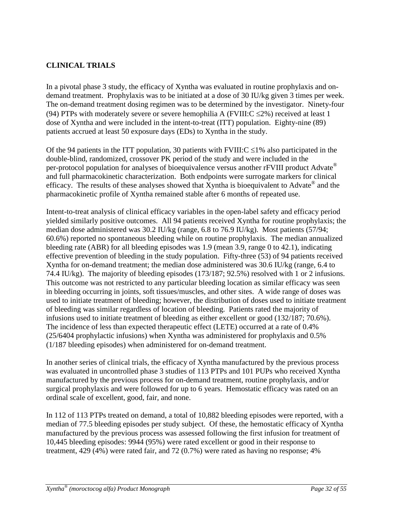# <span id="page-31-0"></span>**CLINICAL TRIALS**

In a pivotal phase 3 study, the efficacy of Xyntha was evaluated in routine prophylaxis and ondemand treatment. Prophylaxis was to be initiated at a dose of 30 IU/kg given 3 times per week. The on-demand treatment dosing regimen was to be determined by the investigator. Ninety-four (94) PTPs with moderately severe or severe hemophilia A (FVIII: $C \le 2\%$ ) received at least 1 dose of Xyntha and were included in the intent-to-treat (ITT) population. Eighty-nine (89) patients accrued at least 50 exposure days (EDs) to Xyntha in the study.

Of the 94 patients in the ITT population, 30 patients with  $FVIII:C \leq 1\%$  also participated in the double-blind, randomized, crossover PK period of the study and were included in the per-protocol population for analyses of bioequivalence versus another rFVIII product Advate® and full pharmacokinetic characterization. Both endpoints were surrogate markers for clinical efficacy. The results of these analyses showed that Xyntha is bioequivalent to Advate<sup>®</sup> and the pharmacokinetic profile of Xyntha remained stable after 6 months of repeated use.

Intent-to-treat analysis of clinical efficacy variables in the open-label safety and efficacy period yielded similarly positive outcomes. All 94 patients received Xyntha for routine prophylaxis; the median dose administered was 30.2 IU/kg (range, 6.8 to 76.9 IU/kg). Most patients (57/94; 60.6%) reported no spontaneous bleeding while on routine prophylaxis. The median annualized bleeding rate (ABR) for all bleeding episodes was 1.9 (mean 3.9, range 0 to 42.1), indicating effective prevention of bleeding in the study population. Fifty-three (53) of 94 patients received Xyntha for on-demand treatment; the median dose administered was 30.6 IU/kg (range, 6.4 to 74.4 IU/kg). The majority of bleeding episodes (173/187; 92.5%) resolved with 1 or 2 infusions. This outcome was not restricted to any particular bleeding location as similar efficacy was seen in bleeding occurring in joints, soft tissues/muscles, and other sites. A wide range of doses was used to initiate treatment of bleeding; however, the distribution of doses used to initiate treatment of bleeding was similar regardless of location of bleeding. Patients rated the majority of infusions used to initiate treatment of bleeding as either excellent or good (132/187; 70.6%). The incidence of less than expected therapeutic effect (LETE) occurred at a rate of 0.4% (25/6404 prophylactic infusions) when Xyntha was administered for prophylaxis and 0.5% (1/187 bleeding episodes) when administered for on-demand treatment.

In another series of clinical trials, the efficacy of Xyntha manufactured by the previous process was evaluated in uncontrolled phase 3 studies of 113 PTPs and 101 PUPs who received Xyntha manufactured by the previous process for on-demand treatment, routine prophylaxis, and/or surgical prophylaxis and were followed for up to 6 years. Hemostatic efficacy was rated on an ordinal scale of excellent, good, fair, and none.

In 112 of 113 PTPs treated on demand, a total of 10,882 bleeding episodes were reported, with a median of 77.5 bleeding episodes per study subject. Of these, the hemostatic efficacy of Xyntha manufactured by the previous process was assessed following the first infusion for treatment of 10,445 bleeding episodes: 9944 (95%) were rated excellent or good in their response to treatment, 429 (4%) were rated fair, and 72 (0.7%) were rated as having no response; 4%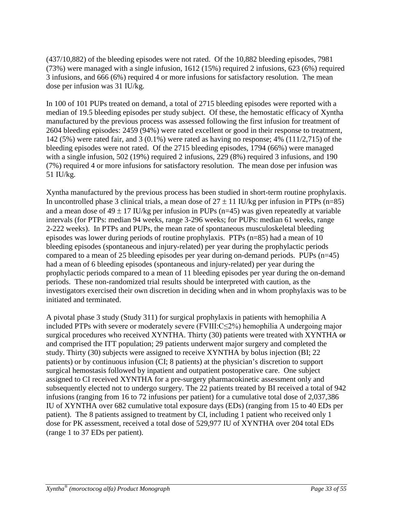(437/10,882) of the bleeding episodes were not rated. Of the 10,882 bleeding episodes, 7981 (73%) were managed with a single infusion, 1612 (15%) required 2 infusions, 623 (6%) required 3 infusions, and 666 (6%) required 4 or more infusions for satisfactory resolution. The mean dose per infusion was 31 IU/kg.

In 100 of 101 PUPs treated on demand, a total of 2715 bleeding episodes were reported with a median of 19.5 bleeding episodes per study subject. Of these, the hemostatic efficacy of Xyntha manufactured by the previous process was assessed following the first infusion for treatment of 2604 bleeding episodes: 2459 (94%) were rated excellent or good in their response to treatment, 142 (5%) were rated fair, and 3 (0.1%) were rated as having no response; 4% (111/2,715) of the bleeding episodes were not rated. Of the 2715 bleeding episodes, 1794 (66%) were managed with a single infusion, 502 (19%) required 2 infusions, 229 (8%) required 3 infusions, and 190 (7%) required 4 or more infusions for satisfactory resolution. The mean dose per infusion was 51 IU/kg.

Xyntha manufactured by the previous process has been studied in short-term routine prophylaxis. In uncontrolled phase 3 clinical trials, a mean dose of  $27 \pm 11$  IU/kg per infusion in PTPs (n=85) and a mean dose of  $49 \pm 17$  IU/kg per infusion in PUPs (n=45) was given repeatedly at variable intervals (for PTPs: median 94 weeks, range 3-296 weeks; for PUPs: median 61 weeks, range 2-222 weeks). In PTPs and PUPs, the mean rate of spontaneous musculoskeletal bleeding episodes was lower during periods of routine prophylaxis. PTPs (n=85) had a mean of 10 bleeding episodes (spontaneous and injury-related) per year during the prophylactic periods compared to a mean of 25 bleeding episodes per year during on-demand periods. PUPs (n=45) had a mean of 6 bleeding episodes (spontaneous and injury-related) per year during the prophylactic periods compared to a mean of 11 bleeding episodes per year during the on-demand periods. These non-randomized trial results should be interpreted with caution, as the investigators exercised their own discretion in deciding when and in whom prophylaxis was to be initiated and terminated.

A pivotal phase 3 study (Study 311) for surgical prophylaxis in patients with hemophilia A included PTPs with severe or moderately severe (FVIII:C≤2%) hemophilia A undergoing major surgical procedures who received XYNTHA. Thirty (30) patients were treated with XYNTHA or and comprised the ITT population; 29 patients underwent major surgery and completed the study. Thirty (30) subjects were assigned to receive XYNTHA by bolus injection (BI; 22 patients) or by continuous infusion (CI; 8 patients) at the physician's discretion to support surgical hemostasis followed by inpatient and outpatient postoperative care. One subject assigned to CI received XYNTHA for a pre-surgery pharmacokinetic assessment only and subsequently elected not to undergo surgery. The 22 patients treated by BI received a total of 942 infusions (ranging from 16 to 72 infusions per patient) for a cumulative total dose of 2,037,386 IU of XYNTHA over 682 cumulative total exposure days (EDs) (ranging from 15 to 40 EDs per patient). The 8 patients assigned to treatment by CI, including 1 patient who received only 1 dose for PK assessment, received a total dose of 529,977 IU of XYNTHA over 204 total EDs (range 1 to 37 EDs per patient).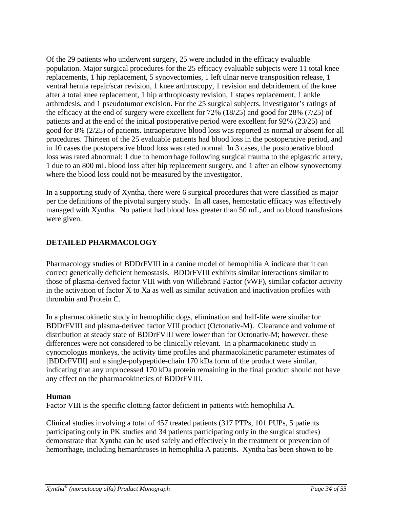Of the 29 patients who underwent surgery, 25 were included in the efficacy evaluable population. Major surgical procedures for the 25 efficacy evaluable subjects were 11 total knee replacements, 1 hip replacement, 5 synovectomies, 1 left ulnar nerve transposition release, 1 ventral hernia repair/scar revision, 1 knee arthroscopy, 1 revision and debridement of the knee after a total knee replacement, 1 hip arthroploasty revision, 1 stapes replacement, 1 ankle arthrodesis, and 1 pseudotumor excision. For the 25 surgical subjects, investigator's ratings of the efficacy at the end of surgery were excellent for 72% (18/25) and good for 28% (7/25) of patients and at the end of the initial postoperative period were excellent for 92% (23/25) and good for 8% (2/25) of patients. Intraoperative blood loss was reported as normal or absent for all procedures. Thirteen of the 25 evaluable patients had blood loss in the postoperative period, and in 10 cases the postoperative blood loss was rated normal. In 3 cases, the postoperative blood loss was rated abnormal: 1 due to hemorrhage following surgical trauma to the epigastric artery, 1 due to an 800 mL blood loss after hip replacement surgery, and 1 after an elbow synovectomy where the blood loss could not be measured by the investigator.

In a supporting study of Xyntha, there were 6 surgical procedures that were classified as major per the definitions of the pivotal surgery study. In all cases, hemostatic efficacy was effectively managed with Xyntha. No patient had blood loss greater than 50 mL, and no blood transfusions were given.

# <span id="page-33-0"></span>**DETAILED PHARMACOLOGY**

Pharmacology studies of BDDrFVIII in a canine model of hemophilia A indicate that it can correct genetically deficient hemostasis. BDDrFVIII exhibits similar interactions similar to those of plasma-derived factor VIII with von Willebrand Factor (vWF), similar cofactor activity in the activation of factor X to Xa as well as similar activation and inactivation profiles with thrombin and Protein C.

In a pharmacokinetic study in hemophilic dogs, elimination and half-life were similar for BDDrFVIII and plasma-derived factor VIII product (Octonativ-M). Clearance and volume of distribution at steady state of BDDrFVIII were lower than for Octonativ-M; however, these differences were not considered to be clinically relevant. In a pharmacokinetic study in cynomologus monkeys, the activity time profiles and pharmacokinetic parameter estimates of [BDDrFVIII] and a single-polypeptide-chain 170 kDa form of the product were similar, indicating that any unprocessed 170 kDa protein remaining in the final product should not have any effect on the pharmacokinetics of BDDrFVIII.

### **Human**

Factor VIII is the specific clotting factor deficient in patients with hemophilia A.

Clinical studies involving a total of 457 treated patients (317 PTPs, 101 PUPs, 5 patients participating only in PK studies and 34 patients participating only in the surgical studies) demonstrate that Xyntha can be used safely and effectively in the treatment or prevention of hemorrhage, including hemarthroses in hemophilia A patients. Xyntha has been shown to be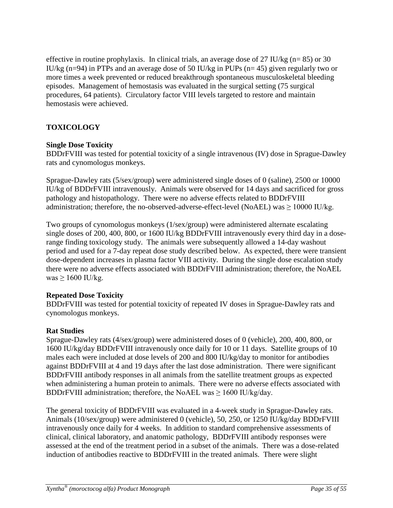effective in routine prophylaxis. In clinical trials, an average dose of 27 IU/kg ( $n= 85$ ) or 30 IU/kg (n=94) in PTPs and an average dose of 50 IU/kg in PUPs (n= 45) given regularly two or more times a week prevented or reduced breakthrough spontaneous musculoskeletal bleeding episodes. Management of hemostasis was evaluated in the surgical setting (75 surgical procedures, 64 patients). Circulatory factor VIII levels targeted to restore and maintain hemostasis were achieved.

# <span id="page-34-0"></span>**TOXICOLOGY**

### **Single Dose Toxicity**

BDDrFVIII was tested for potential toxicity of a single intravenous (IV) dose in Sprague-Dawley rats and cynomologus monkeys.

Sprague-Dawley rats (5/sex/group) were administered single doses of 0 (saline), 2500 or 10000 IU/kg of BDDrFVIII intravenously. Animals were observed for 14 days and sacrificed for gross pathology and histopathology. There were no adverse effects related to BDDrFVIII administration; therefore, the no-observed-adverse-effect-level (NoAEL) was  $\geq 10000$  IU/kg.

Two groups of cynomologus monkeys (1/sex/group) were administered alternate escalating single doses of 200, 400, 800, or 1600 IU/kg BDDrFVIII intravenously every third day in a doserange finding toxicology study. The animals were subsequently allowed a 14-day washout period and used for a 7-day repeat dose study described below. As expected, there were transient dose-dependent increases in plasma factor VIII activity. During the single dose escalation study there were no adverse effects associated with BDDrFVIII administration; therefore, the NoAEL was  $\geq 1600$  IU/kg.

# **Repeated Dose Toxicity**

BDDrFVIII was tested for potential toxicity of repeated IV doses in Sprague-Dawley rats and cynomologus monkeys.

# **Rat Studies**

Sprague-Dawley rats (4/sex/group) were administered doses of 0 (vehicle), 200, 400, 800, or 1600 IU/kg/day BDDrFVIII intravenously once daily for 10 or 11 days. Satellite groups of 10 males each were included at dose levels of 200 and 800 IU/kg/day to monitor for antibodies against BDDrFVIII at 4 and 19 days after the last dose administration. There were significant BDDrFVIII antibody responses in all animals from the satellite treatment groups as expected when administering a human protein to animals. There were no adverse effects associated with BDDrFVIII administration; therefore, the NoAEL was ≥ 1600 IU/kg/day.

The general toxicity of BDDrFVIII was evaluated in a 4-week study in Sprague-Dawley rats. Animals (10/sex/group) were administered 0 (vehicle), 50, 250, or 1250 IU/kg/day BDDrFVIII intravenously once daily for 4 weeks. In addition to standard comprehensive assessments of clinical, clinical laboratory, and anatomic pathology, BDDrFVIII antibody responses were assessed at the end of the treatment period in a subset of the animals. There was a dose-related induction of antibodies reactive to BDDrFVIII in the treated animals. There were slight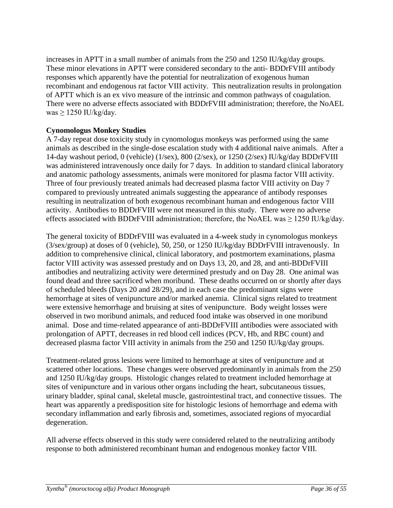increases in APTT in a small number of animals from the 250 and 1250 IU/kg/day groups. These minor elevations in APTT were considered secondary to the anti- BDDrFVIII antibody responses which apparently have the potential for neutralization of exogenous human recombinant and endogenous rat factor VIII activity. This neutralization results in prolongation of APTT which is an ex vivo measure of the intrinsic and common pathways of coagulation. There were no adverse effects associated with BDDrFVIII administration; therefore, the NoAEL was  $\geq$  1250 IU/kg/day.

### **Cynomologus Monkey Studies**

A 7-day repeat dose toxicity study in cynomologus monkeys was performed using the same animals as described in the single-dose escalation study with 4 additional naive animals. After a 14-day washout period, 0 (vehicle) (1/sex), 800 (2/sex), or 1250 (2/sex) IU/kg/day BDDrFVIII was administered intravenously once daily for 7 days. In addition to standard clinical laboratory and anatomic pathology assessments, animals were monitored for plasma factor VIII activity. Three of four previously treated animals had decreased plasma factor VIII activity on Day 7 compared to previously untreated animals suggesting the appearance of antibody responses resulting in neutralization of both exogenous recombinant human and endogenous factor VIII activity. Antibodies to BDDrFVIII were not measured in this study. There were no adverse effects associated with BDDrFVIII administration; therefore, the NoAEL was  $\geq$  1250 IU/kg/day.

The general toxicity of BDDrFVIII was evaluated in a 4-week study in cynomologus monkeys (3/sex/group) at doses of 0 (vehicle), 50, 250, or 1250 IU/kg/day BDDrFVIII intravenously. In addition to comprehensive clinical, clinical laboratory, and postmortem examinations, plasma factor VIII activity was assessed prestudy and on Days 13, 20, and 28, and anti-BDDrFVIII antibodies and neutralizing activity were determined prestudy and on Day 28. One animal was found dead and three sacrificed when moribund. These deaths occurred on or shortly after days of scheduled bleeds (Days 20 and 28/29), and in each case the predominant signs were hemorrhage at sites of venipuncture and/or marked anemia. Clinical signs related to treatment were extensive hemorrhage and bruising at sites of venipuncture. Body weight losses were observed in two moribund animals, and reduced food intake was observed in one moribund animal. Dose and time-related appearance of anti-BDDrFVIII antibodies were associated with prolongation of APTT, decreases in red blood cell indices (PCV, Hb, and RBC count) and decreased plasma factor VIII activity in animals from the 250 and 1250 IU/kg/day groups.

Treatment-related gross lesions were limited to hemorrhage at sites of venipuncture and at scattered other locations. These changes were observed predominantly in animals from the 250 and 1250 IU/kg/day groups. Histologic changes related to treatment included hemorrhage at sites of venipuncture and in various other organs including the heart, subcutaneous tissues, urinary bladder, spinal canal, skeletal muscle, gastrointestinal tract, and connective tissues. The heart was apparently a predisposition site for histologic lesions of hemorrhage and edema with secondary inflammation and early fibrosis and, sometimes, associated regions of myocardial degeneration.

All adverse effects observed in this study were considered related to the neutralizing antibody response to both administered recombinant human and endogenous monkey factor VIII.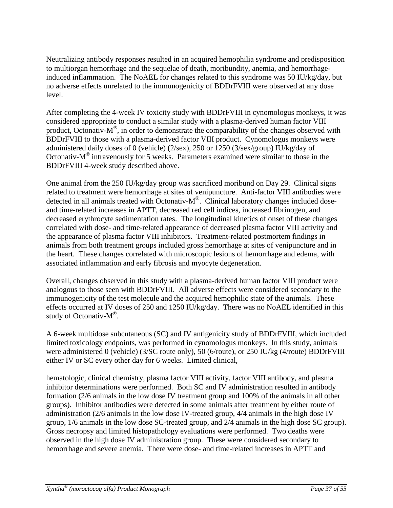Neutralizing antibody responses resulted in an acquired hemophilia syndrome and predisposition to multiorgan hemorrhage and the sequelae of death, moribundity, anemia, and hemorrhageinduced inflammation. The NoAEL for changes related to this syndrome was 50 IU/kg/day, but no adverse effects unrelated to the immunogenicity of BDDrFVIII were observed at any dose level.

After completing the 4-week IV toxicity study with BDDrFVIII in cynomologus monkeys, it was considered appropriate to conduct a similar study with a plasma-derived human factor VIII product, Octonativ- $M^{\circledR}$ , in order to demonstrate the comparability of the changes observed with BDDrFVIII to those with a plasma-derived factor VIII product. Cynomologus monkeys were administered daily doses of 0 (vehicle) (2/sex), 250 or 1250 (3/sex/group) IU/kg/day of Octonativ-M® intravenously for 5 weeks. Parameters examined were similar to those in the BDDrFVIII 4-week study described above.

One animal from the 250 IU/kg/day group was sacrificed moribund on Day 29. Clinical signs related to treatment were hemorrhage at sites of venipuncture. Anti-factor VIII antibodies were detected in all animals treated with Octonativ-M®. Clinical laboratory changes included doseand time-related increases in APTT, decreased red cell indices, increased fibrinogen, and decreased erythrocyte sedimentation rates. The longitudinal kinetics of onset of these changes correlated with dose- and time-related appearance of decreased plasma factor VIII activity and the appearance of plasma factor VIII inhibitors. Treatment-related postmortem findings in animals from both treatment groups included gross hemorrhage at sites of venipuncture and in the heart. These changes correlated with microscopic lesions of hemorrhage and edema, with associated inflammation and early fibrosis and myocyte degeneration.

Overall, changes observed in this study with a plasma-derived human factor VIII product were analogous to those seen with BDDrFVIII. All adverse effects were considered secondary to the immunogenicity of the test molecule and the acquired hemophilic state of the animals. These effects occurred at IV doses of 250 and 1250 IU/kg/day. There was no NoAEL identified in this study of Octonativ- $M^{\circledR}$ .

A 6-week multidose subcutaneous (SC) and IV antigenicity study of BDDrFVIII, which included limited toxicology endpoints, was performed in cynomologus monkeys. In this study, animals were administered 0 (vehicle) (3/SC route only), 50 (6/route), or 250 IU/kg (4/route) BDDrFVIII either IV or SC every other day for 6 weeks. Limited clinical,

hematologic, clinical chemistry, plasma factor VIII activity, factor VIII antibody, and plasma inhibitor determinations were performed. Both SC and IV administration resulted in antibody formation (2/6 animals in the low dose IV treatment group and 100% of the animals in all other groups). Inhibitor antibodies were detected in some animals after treatment by either route of administration (2/6 animals in the low dose IV-treated group, 4/4 animals in the high dose IV group, 1/6 animals in the low dose SC-treated group, and 2/4 animals in the high dose SC group). Gross necropsy and limited histopathology evaluations were performed. Two deaths were observed in the high dose IV administration group. These were considered secondary to hemorrhage and severe anemia. There were dose- and time-related increases in APTT and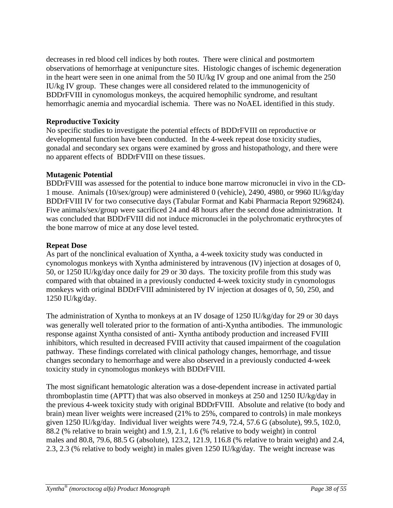decreases in red blood cell indices by both routes. There were clinical and postmortem observations of hemorrhage at venipuncture sites. Histologic changes of ischemic degeneration in the heart were seen in one animal from the 50 IU/kg IV group and one animal from the 250 IU/kg IV group. These changes were all considered related to the immunogenicity of BDDrFVIII in cynomologus monkeys, the acquired hemophilic syndrome, and resultant hemorrhagic anemia and myocardial ischemia. There was no NoAEL identified in this study.

### **Reproductive Toxicity**

No specific studies to investigate the potential effects of BDDrFVIII on reproductive or developmental function have been conducted. In the 4-week repeat dose toxicity studies, gonadal and secondary sex organs were examined by gross and histopathology, and there were no apparent effects of BDDrFVIII on these tissues.

### **Mutagenic Potential**

BDDrFVIII was assessed for the potential to induce bone marrow micronuclei in vivo in the CD-1 mouse. Animals (10/sex/group) were administered 0 (vehicle), 2490, 4980, or 9960 IU/kg/day BDDrFVIII IV for two consecutive days (Tabular Format and Kabi Pharmacia Report 9296824). Five animals/sex/group were sacrificed 24 and 48 hours after the second dose administration. It was concluded that BDDrFVIII did not induce micronuclei in the polychromatic erythrocytes of the bone marrow of mice at any dose level tested.

### **Repeat Dose**

As part of the nonclinical evaluation of Xyntha, a 4-week toxicity study was conducted in cynomologus monkeys with Xyntha administered by intravenous (IV) injection at dosages of 0, 50, or 1250 IU/kg/day once daily for 29 or 30 days. The toxicity profile from this study was compared with that obtained in a previously conducted 4-week toxicity study in cynomologus monkeys with original BDDrFVIII administered by IV injection at dosages of 0, 50, 250, and 1250 IU/kg/day.

The administration of Xyntha to monkeys at an IV dosage of 1250 IU/kg/day for 29 or 30 days was generally well tolerated prior to the formation of anti-Xyntha antibodies. The immunologic response against Xyntha consisted of anti- Xyntha antibody production and increased FVIII inhibitors, which resulted in decreased FVIII activity that caused impairment of the coagulation pathway. These findings correlated with clinical pathology changes, hemorrhage, and tissue changes secondary to hemorrhage and were also observed in a previously conducted 4-week toxicity study in cynomologus monkeys with BDDrFVIII.

The most significant hematologic alteration was a dose-dependent increase in activated partial thromboplastin time (APTT) that was also observed in monkeys at 250 and 1250 IU/kg/day in the previous 4-week toxicity study with original BDDrFVIII. Absolute and relative (to body and brain) mean liver weights were increased (21% to 25%, compared to controls) in male monkeys given 1250 IU/kg/day. Individual liver weights were 74.9, 72.4, 57.6 G (absolute), 99.5, 102.0, 88.2 (% relative to brain weight) and 1.9, 2.1, 1.6 (% relative to body weight) in control males and 80.8, 79.6, 88.5 G (absolute), 123.2, 121.9, 116.8 (% relative to brain weight) and 2.4, 2.3, 2.3 (% relative to body weight) in males given 1250 IU/kg/day. The weight increase was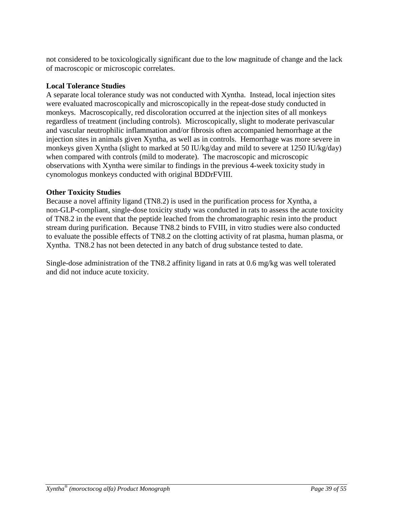not considered to be toxicologically significant due to the low magnitude of change and the lack of macroscopic or microscopic correlates.

## **Local Tolerance Studies**

A separate local tolerance study was not conducted with Xyntha. Instead, local injection sites were evaluated macroscopically and microscopically in the repeat-dose study conducted in monkeys. Macroscopically, red discoloration occurred at the injection sites of all monkeys regardless of treatment (including controls). Microscopically, slight to moderate perivascular and vascular neutrophilic inflammation and/or fibrosis often accompanied hemorrhage at the injection sites in animals given Xyntha, as well as in controls. Hemorrhage was more severe in monkeys given Xyntha (slight to marked at 50 IU/kg/day and mild to severe at 1250 IU/kg/day) when compared with controls (mild to moderate). The macroscopic and microscopic observations with Xyntha were similar to findings in the previous 4-week toxicity study in cynomologus monkeys conducted with original BDDrFVIII.

### **Other Toxicity Studies**

Because a novel affinity ligand (TN8.2) is used in the purification process for Xyntha, a non-GLP-compliant, single-dose toxicity study was conducted in rats to assess the acute toxicity of TN8.2 in the event that the peptide leached from the chromatographic resin into the product stream during purification. Because TN8.2 binds to FVIII, in vitro studies were also conducted to evaluate the possible effects of TN8.2 on the clotting activity of rat plasma, human plasma, or Xyntha. TN8.2 has not been detected in any batch of drug substance tested to date.

Single-dose administration of the TN8.2 affinity ligand in rats at 0.6 mg/kg was well tolerated and did not induce acute toxicity.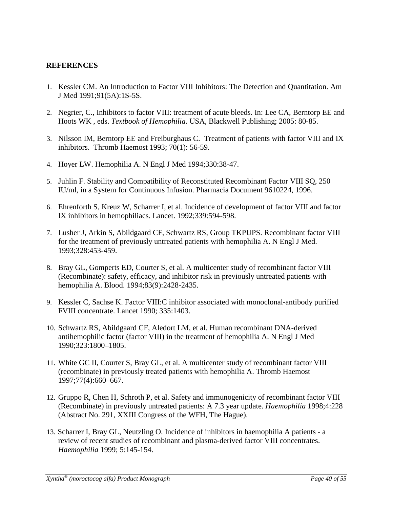### <span id="page-39-0"></span>**REFERENCES**

- 1. Kessler CM. An Introduction to Factor VIII Inhibitors: The Detection and Quantitation. Am J Med 1991;91(5A):1S-5S.
- 2. Negrier, C., Inhibitors to factor VIII: treatment of acute bleeds. In: Lee CA, Berntorp EE and Hoots WK , eds. *Textbook of Hemophilia*. USA, Blackwell Publishing; 2005: 80-85.
- 3. Nilsson IM, Berntorp EE and Freiburghaus C. Treatment of patients with factor VIII and IX inhibitors. Thromb Haemost 1993; 70(1): 56-59.
- 4. Hoyer LW. Hemophilia A. N Engl J Med 1994;330:38-47.
- 5. Juhlin F. Stability and Compatibility of Reconstituted Recombinant Factor VIII SQ, 250 IU/ml, in a System for Continuous Infusion. Pharmacia Document 9610224, 1996.
- 6. Ehrenforth S, Kreuz W, Scharrer I, et al. Incidence of development of factor VIII and factor IX inhibitors in hemophiliacs. Lancet. 1992;339:594-598.
- 7. Lusher J, Arkin S, Abildgaard CF, Schwartz RS, Group TKPUPS. Recombinant factor VIII for the treatment of previously untreated patients with hemophilia A. N Engl J Med. 1993;328:453-459.
- 8. Bray GL, Gomperts ED, Courter S, et al. A multicenter study of recombinant factor VIII (Recombinate): safety, efficacy, and inhibitor risk in previously untreated patients with hemophilia A. Blood. 1994;83(9):2428-2435.
- 9. Kessler C, Sachse K. Factor VIII:C inhibitor associated with monoclonal-antibody purified FVIII concentrate. Lancet 1990; 335:1403.
- 10. Schwartz RS, Abildgaard CF, Aledort LM, et al. Human recombinant DNA-derived antihemophilic factor (factor VIII) in the treatment of hemophilia A. N Engl J Med 1990;323:1800–1805.
- 11. White GC II, Courter S, Bray GL, et al. A multicenter study of recombinant factor VIII (recombinate) in previously treated patients with hemophilia A. Thromb Haemost 1997;77(4):660–667.
- 12. Gruppo R, Chen H, Schroth P, et al. Safety and immunogenicity of recombinant factor VIII (Recombinate) in previously untreated patients: A 7.3 year update. *Haemophilia* 1998;4:228 (Abstract No. 291, XXIII Congress of the WFH, The Hague).
- 13. Scharrer I, Bray GL, Neutzling O. Incidence of inhibitors in haemophilia A patients a review of recent studies of recombinant and plasma-derived factor VIII concentrates. *Haemophilia* 1999; 5:145-154.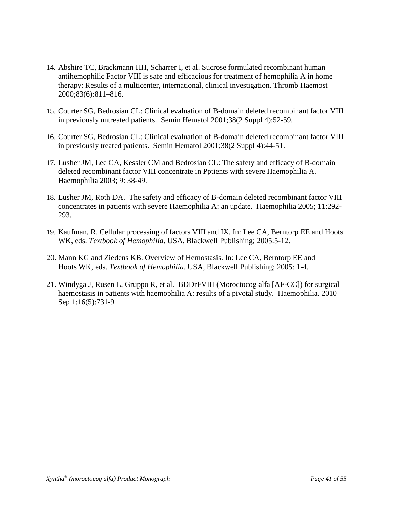- 14. Abshire TC, Brackmann HH, Scharrer I, et al. Sucrose formulated recombinant human antihemophilic Factor VIII is safe and efficacious for treatment of hemophilia A in home therapy: Results of a multicenter, international, clinical investigation. Thromb Haemost 2000;83(6):811–816.
- 15. Courter SG, Bedrosian CL: Clinical evaluation of B-domain deleted recombinant factor VIII in previously untreated patients. Semin Hematol 2001;38(2 Suppl 4):52-59.
- 16. Courter SG, Bedrosian CL: Clinical evaluation of B-domain deleted recombinant factor VIII in previously treated patients. Semin Hematol 2001;38(2 Suppl 4):44-51.
- 17. Lusher JM, Lee CA, Kessler CM and Bedrosian CL: The safety and efficacy of B-domain deleted recombinant factor VIII concentrate in Pptients with severe Haemophilia A. Haemophilia 2003; 9: 38-49.
- 18. Lusher JM, Roth DA. The safety and efficacy of B-domain deleted recombinant factor VIII concentrates in patients with severe Haemophilia A: an update. Haemophilia 2005; 11:292- 293.
- 19. Kaufman, R. Cellular processing of factors VIII and IX. In: Lee CA, Berntorp EE and Hoots WK, eds. *Textbook of Hemophilia*. USA, Blackwell Publishing; 2005:5-12.
- 20. Mann KG and Ziedens KB. Overview of Hemostasis. In: Lee CA, Berntorp EE and Hoots WK, eds. *Textbook of Hemophilia*. USA, Blackwell Publishing; 2005: 1-4.
- 21. Windyga J, Rusen L, Gruppo R, et al. BDDrFVIII (Moroctocog alfa [AF-CC]) for surgical haemostasis in patients with haemophilia A: results of a pivotal study. Haemophilia. 2010 Sep 1;16(5):731-9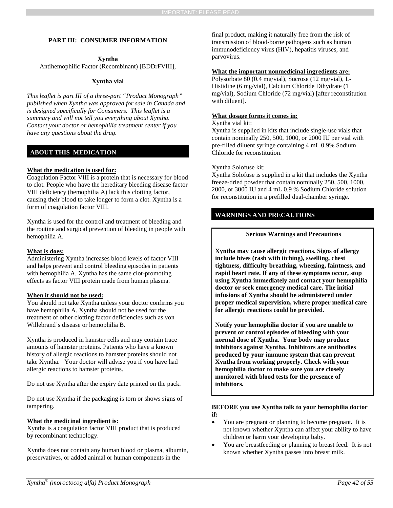#### <span id="page-41-0"></span>**PART III: CONSUMER INFORMATION**

#### **Xyntha**

Antihemophilic Factor (Recombinant) [BDDrFVIII],

#### **Xyntha vial**

*This leaflet is part III of a three-part "Product Monograph" published when Xyntha was approved for sale in Canada and is designed specifically for Consumers. This leaflet is a summary and will not tell you everything about Xyntha. Contact your doctor or hemophilia treatment center if you have any questions about the drug.*

#### **ABOUT THIS MEDICATION**

#### **What the medication is used for:**

Coagulation Factor VIII is a protein that is necessary for blood to clot. People who have the hereditary bleeding disease factor VIII deficiency (hemophilia A) lack this clotting factor, causing their blood to take longer to form a clot. Xyntha is a form of coagulation factor VIII.

Xyntha is used for the control and treatment of bleeding and the routine and surgical prevention of bleeding in people with hemophilia A.

#### **What is does:**

Administering Xyntha increases blood levels of factor VIII and helps prevent and control bleeding episodes in patients with hemophilia A. Xyntha has the same clot-promoting effects as factor VIII protein made from human plasma.

#### **When it should not be used:**

You should not take Xyntha unless your doctor confirms you have hemophilia A. Xyntha should not be used for the treatment of other clotting factor deficiencies such as von Willebrand's disease or hemophilia B.

Xyntha is produced in hamster cells and may contain trace amounts of hamster proteins. Patients who have a known history of allergic reactions to hamster proteins should not take Xyntha. Your doctor will advise you if you have had allergic reactions to hamster proteins.

Do not use Xyntha after the expiry date printed on the pack.

Do not use Xyntha if the packaging is torn or shows signs of tampering.

#### **What the medicinal ingredient is:**

Xyntha is a coagulation factor VIII product that is produced by recombinant technology.

Xyntha does not contain any human blood or plasma, albumin, preservatives, or added animal or human components in the

final product, making it naturally free from the risk of transmission of blood-borne pathogens such as human immunodeficiency virus (HIV), hepatitis viruses, and parvovirus.

#### **What the important nonmedicinal ingredients are:**

Polysorbate 80 (0.4 mg/vial), Sucrose (12 mg/vial), L-Histidine (6 mg/vial), Calcium Chloride Dihydrate (1 mg/vial), Sodium Chloride (72 mg/vial) [after reconstitution with diluent].

#### **What dosage forms it comes in:**

#### Xyntha vial kit:

Xyntha is supplied in kits that include single-use vials that contain nominally 250, 500, 1000, or 2000 IU per vial with pre-filled diluent syringe containing 4 mL 0.9% Sodium Chloride for reconstitution.

#### Xyntha Solofuse kit:

Xyntha Solofuse is supplied in a kit that includes the Xyntha freeze-dried powder that contain nominally 250, 500, 1000, 2000, or 3000 IU and 4 mL 0.9 % Sodium Chloride solution for reconstitution in a prefilled dual-chamber syringe.

#### **WARNINGS AND PRECAUTIONS**

#### **Serious Warnings and Precautions**

**Xyntha may cause allergic reactions. Signs of allergy include hives (rash with itching), swelling, chest tightness, difficulty breathing, wheezing, faintness, and rapid heart rate. If any of these symptoms occur, stop using Xyntha immediately and contact your hemophilia doctor or seek emergency medical care. The initial infusions of Xyntha should be administered under proper medical supervision, where proper medical care for allergic reactions could be provided.**

**Notify your hemophilia doctor if you are unable to prevent or control episodes of bleeding with your normal dose of Xyntha. Your body may produce inhibitors against Xyntha. Inhibitors are antibodies produced by your immune system that can prevent Xyntha from working properly. Check with your hemophilia doctor to make sure you are closely monitored with blood tests for the presence of inhibitors.** 

#### **BEFORE you use Xyntha talk to your hemophilia doctor if:**

- You are pregnant or planning to become pregnant*.* It is not known whether Xyntha can affect your ability to have children or harm your developing baby.
- You are breastfeeding or planning to breast feed. It is not known whether Xyntha passes into breast milk.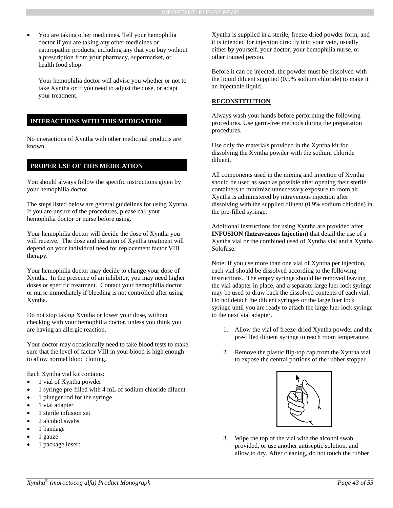• You are taking other medicines*.* Tell your hemophilia doctor if you are taking any other medicines or naturopathic products, including any that you buy without a prescription from your pharmacy, supermarket, or health food shop.

Your hemophilia doctor will advise you whether or not to take Xyntha or if you need to adjust the dose, or adapt your treatment.

#### **INTERACTIONS WITH THIS MEDICATION**

No interactions of Xyntha with other medicinal products are known.

### **PROPER USE OF THIS MEDICATION**

You should always follow the specific instructions given by your hemophilia doctor.

The steps listed below are general guidelines for using Xyntha. If you are unsure of the procedures, please call your hemophilia doctor or nurse before using.

Your hemophilia doctor will decide the dose of Xyntha you will receive. The dose and duration of Xyntha treatment will depend on your individual need for replacement factor VIII therapy.

Your hemophilia doctor may decide to change your dose of Xyntha. In the presence of an inhibitor, you may need higher doses or specific treatment. Contact your hemophilia doctor or nurse immediately if bleeding is not controlled after using Xyntha.

Do not stop taking Xyntha or lower your dose, without checking with your hemophilia doctor, unless you think you are having an allergic reaction.

Your doctor may occasionally need to take blood tests to make sure that the level of factor VIII in your blood is high enough to allow normal blood clotting.

Each Xyntha vial kit contains:

- 1 vial of Xyntha powder
- 1 syringe pre-filled with 4 mL of sodium chloride diluent
- 1 plunger rod for the syringe
- 1 vial adapter
- 1 sterile infusion set
- 2 alcohol swabs
- 1 bandage
- 1 gauze
- 1 package insert

Xyntha is supplied in a sterile, freeze-dried powder form, and it is intended for injection directly into your vein, usually either by yourself, your doctor, your hemophilia nurse, or other trained person.

Before it can be injected, the powder must be dissolved with the liquid diluent supplied (0.9% sodium chloride) to make it an injectable liquid.

#### **RECONSTITUTION**

Always wash your hands before performing the following procedures. Use germ-free methods during the preparation procedures.

Use only the materials provided in the Xyntha kit for dissolving the Xyntha powder with the sodium chloride diluent.

All components used in the mixing and injection of Xyntha should be used as soon as possible after opening their sterile containers to minimize unnecessary exposure to room air. Xyntha is administered by intravenous injection after dissolving with the supplied diluent (0.9% sodium chloride) in the pre-filled syringe.

Additional instructions for using Xyntha are provided after **INFUSION (Intravenous Injection)** that detail the use of a Xyntha vial or the combined used of Xyntha vial and a Xyntha Solofuse.

Note: If you use more than one vial of Xyntha per injection, each vial should be dissolved according to the following instructions. The empty syringe should be removed leaving the vial adapter in place, and a separate large luer lock syringe may be used to draw back the dissolved contents of each vial. Do not detach the diluent syringes or the large luer lock syringe until you are ready to attach the large luer lock syringe to the next vial adapter.

- 1. Allow the vial of freeze-dried Xyntha powder and the pre-filled diluent syringe to reach room temperature.
- 2. Remove the plastic flip-top cap from the Xyntha vial to expose the central portions of the rubber stopper.



3. Wipe the top of the vial with the alcohol swab provided, or use another antiseptic solution, and allow to dry. After cleaning, do not touch the rubber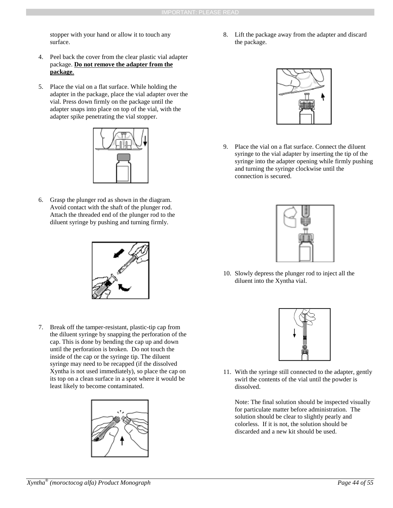stopper with your hand or allow it to touch any surface.

- 4. Peel back the cover from the clear plastic vial adapter package. **Do not remove the adapter from the package**.
- 5. Place the vial on a flat surface. While holding the adapter in the package, place the vial adapter over the vial. Press down firmly on the package until the adapter snaps into place on top of the vial, with the adapter spike penetrating the vial stopper.



6. Grasp the plunger rod as shown in the diagram. Avoid contact with the shaft of the plunger rod. Attach the threaded end of the plunger rod to the diluent syringe by pushing and turning firmly.



7. Break off the tamper-resistant, plastic-tip cap from the diluent syringe by snapping the perforation of the cap. This is done by bending the cap up and down until the perforation is broken. Do not touch the inside of the cap or the syringe tip. The diluent syringe may need to be recapped (if the dissolved Xyntha is not used immediately), so place the cap on its top on a clean surface in a spot where it would be least likely to become contaminated.



8. Lift the package away from the adapter and discard the package.



9. Place the vial on a flat surface. Connect the diluent syringe to the vial adapter by inserting the tip of the syringe into the adapter opening while firmly pushing and turning the syringe clockwise until the connection is secured.



10. Slowly depress the plunger rod to inject all the diluent into the Xyntha vial.



11. With the syringe still connected to the adapter, gently swirl the contents of the vial until the powder is dissolved.

Note: The final solution should be inspected visually for particulate matter before administration. The solution should be clear to slightly pearly and colorless. If it is not, the solution should be discarded and a new kit should be used.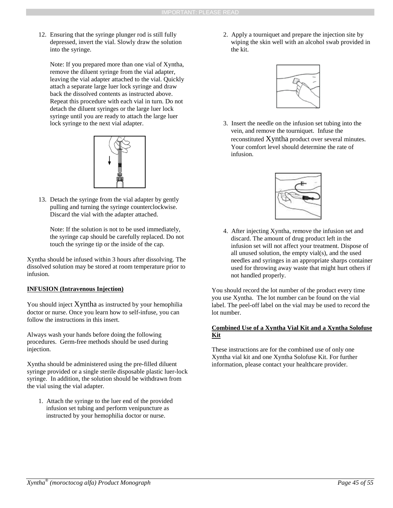12. Ensuring that the syringe plunger rod is still fully depressed, invert the vial. Slowly draw the solution into the syringe.

Note: If you prepared more than one vial of Xyntha, remove the diluent syringe from the vial adapter, leaving the vial adapter attached to the vial. Quickly attach a separate large luer lock syringe and draw back the dissolved contents as instructed above. Repeat this procedure with each vial in turn. Do not detach the diluent syringes or the large luer lock syringe until you are ready to attach the large luer lock syringe to the next vial adapter.



13. Detach the syringe from the vial adapter by gently pulling and turning the syringe counterclockwise. Discard the vial with the adapter attached.

Note: If the solution is not to be used immediately, the syringe cap should be carefully replaced. Do not touch the syringe tip or the inside of the cap.

Xyntha should be infused within 3 hours after dissolving. The dissolved solution may be stored at room temperature prior to infusion.

#### **INFUSION (Intravenous Injection)**

You should inject Xyntha as instructed by your hemophilia doctor or nurse. Once you learn how to self-infuse, you can follow the instructions in this insert.

Always wash your hands before doing the following procedures. Germ-free methods should be used during injection.

Xyntha should be administered using the pre-filled diluent syringe provided or a single sterile disposable plastic luer-lock syringe. In addition, the solution should be withdrawn from the vial using the vial adapter.

1. Attach the syringe to the luer end of the provided infusion set tubing and perform venipuncture as instructed by your hemophilia doctor or nurse.

2. Apply a tourniquet and prepare the injection site by wiping the skin well with an alcohol swab provided in the kit.



3. Insert the needle on the infusion set tubing into the vein, and remove the tourniquet. Infuse the reconstituted Xyntha product over several minutes. Your comfort level should determine the rate of infusion.



4. After injecting Xyntha, remove the infusion set and discard. The amount of drug product left in the infusion set will not affect your treatment. Dispose of all unused solution, the empty vial(s), and the used needles and syringes in an appropriate sharps container used for throwing away waste that might hurt others if not handled properly.

You should record the lot number of the product every time you use Xyntha. The lot number can be found on the vial label. The peel-off label on the vial may be used to record the lot number.

#### **Combined Use of a Xyntha Vial Kit and a Xyntha Solofuse Kit**

These instructions are for the combined use of only one Xyntha vial kit and one Xyntha Solofuse Kit. For further information, please contact your healthcare provider.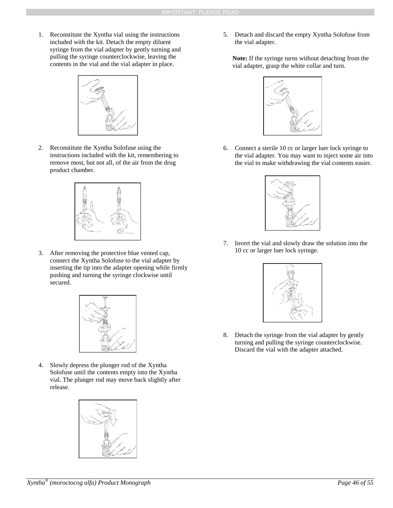1. Reconstitute the Xyntha vial using the instructions included with the kit. Detach the empty diluent syringe from the vial adapter by gently turning and pulling the syringe counterclockwise, leaving the contents in the vial and the vial adapter in place.



2. Reconstitute the Xyntha Solofuse using the instructions included with the kit, remembering to remove most, but not all, of the air from the drug product chamber.



3. After removing the protective blue vented cap, connect the Xyntha Solofuse to the vial adapter by inserting the tip into the adapter opening while firmly pushing and turning the syringe clockwise until secured.



4. Slowly depress the plunger rod of the Xyntha Solofuse until the contents empty into the Xyntha vial. The plunger rod may move back slightly after release.



5. Detach and discard the empty Xyntha Solofuse from the vial adapter.

**Note:** If the syringe turns without detaching from the vial adapter, grasp the white collar and turn.



6. Connect a sterile 10 cc or larger luer lock syringe to the vial adapter. You may want to inject some air into the vial to make withdrawing the vial contents easier.



7. Invert the vial and slowly draw the solution into the 10 cc or larger luer lock syringe.



8. Detach the syringe from the vial adapter by gently turning and pulling the syringe counterclockwise. Discard the vial with the adapter attached.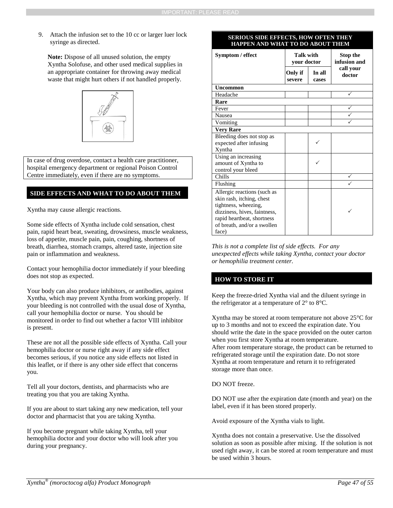9. Attach the infusion set to the 10 cc or larger luer lock syringe as directed.

**Note:** Dispose of all unused solution, the empty Xyntha Solofuse, and other used medical supplies in an appropriate container for throwing away medical waste that might hurt others if not handled properly.



In case of drug overdose, contact a health care practitioner, hospital emergency department or regional Poison Control Centre immediately, even if there are no symptoms.

#### **SIDE EFFECTS AND WHAT TO DO ABOUT THEM**

Xyntha may cause allergic reactions.

Some side effects of Xyntha include cold sensation, chest pain, rapid heart beat, sweating, drowsiness, muscle weakness, loss of appetite, muscle pain, pain, coughing, shortness of breath, diarrhea, stomach cramps, altered taste, injection site pain or inflammation and weakness.

Contact your hemophilia doctor immediately if your bleeding does not stop as expected.

Your body can also produce inhibitors, or antibodies, against Xyntha, which may prevent Xyntha from working properly. If your bleeding is not controlled with the usual dose of Xyntha, call your hemophilia doctor or nurse. You should be monitored in order to find out whether a factor VIII inhibitor is present.

These are not all the possible side effects of Xyntha. Call your hemophilia doctor or nurse right away if any side effect becomes serious, if you notice any side effects not listed in this leaflet, or if there is any other side effect that concerns you.

Tell all your doctors, dentists, and pharmacists who are treating you that you are taking Xyntha.

If you are about to start taking any new medication, tell your doctor and pharmacist that you are taking Xyntha.

If you become pregnant while taking Xyntha, tell your hemophilia doctor and your doctor who will look after you during your pregnancy.

#### **SERIOUS SIDE EFFECTS, HOW OFTEN THEY HAPPEN AND WHAT TO DO ABOUT THEM**

| Symptom / effect             | <b>Talk with</b><br>your doctor      |  | Stop the<br>infusion and |  |
|------------------------------|--------------------------------------|--|--------------------------|--|
|                              | Only if<br>In all<br>severe<br>cases |  | call your<br>doctor      |  |
| <b>Uncommon</b>              |                                      |  |                          |  |
| Headache                     |                                      |  |                          |  |
| Rare                         |                                      |  |                          |  |
| Fever                        |                                      |  |                          |  |
| <b>Nausea</b>                |                                      |  |                          |  |
| Vomiting                     |                                      |  |                          |  |
| <b>Very Rare</b>             |                                      |  |                          |  |
| Bleeding does not stop as    |                                      |  |                          |  |
| expected after infusing      |                                      |  |                          |  |
| Xyntha                       |                                      |  |                          |  |
| Using an increasing          |                                      |  |                          |  |
| amount of Xyntha to          |                                      |  |                          |  |
| control your bleed           |                                      |  |                          |  |
| Chills                       |                                      |  |                          |  |
| Flushing                     |                                      |  |                          |  |
| Allergic reactions (such as  |                                      |  |                          |  |
| skin rash, itching, chest    |                                      |  |                          |  |
| tightness, wheezing,         |                                      |  |                          |  |
| dizziness, hives, faintness, |                                      |  |                          |  |
| rapid heartbeat, shortness   |                                      |  |                          |  |
| of breath, and/or a swollen  |                                      |  |                          |  |
| face)                        |                                      |  |                          |  |

*This is not a complete list of side effects. For any unexpected effects while taking Xyntha, contact your doctor or hemophilia treatment center.*

#### **HOW TO STORE IT**

Keep the freeze-dried Xyntha vial and the diluent syringe in the refrigerator at a temperature of 2° to 8°C.

Xyntha may be stored at room temperature not above 25°C for up to 3 months and not to exceed the expiration date. You should write the date in the space provided on the outer carton when you first store Xyntha at room temperature. After room temperature storage, the product can be returned to refrigerated storage until the expiration date. Do not store Xyntha at room temperature and return it to refrigerated storage more than once.

DO NOT freeze.

DO NOT use after the expiration date (month and year) on the label, even if it has been stored properly.

Avoid exposure of the Xyntha vials to light.

Xyntha does not contain a preservative. Use the dissolved solution as soon as possible after mixing. If the solution is not used right away, it can be stored at room temperature and must be used within 3 hours.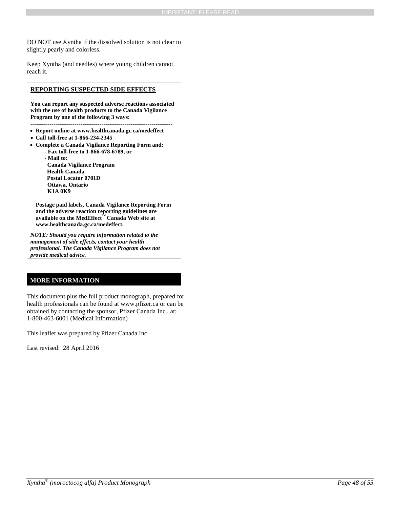DO NOT use Xyntha if the dissolved solution is not clear to slightly pearly and colorless.

Keep Xyntha (and needles) where young children cannot reach it.

#### **REPORTING SUSPECTED SIDE EFFECTS**

**You can report any suspected adverse reactions associated with the use of health products to the Canada Vigilance Program by one of the following 3 ways:** 

- **--------------------------------------------------------------------------**
- **Report online at www.healthcanada.gc.ca/medeffect**
- **Call toll-free at 1-866-234-2345**
- **Complete a Canada Vigilance Reporting Form and:**
	- **- Fax toll-free to 1-866-678-6789, or**
	- **- Mail to: Canada Vigilance Program Health Canada Postal Locator 0701D Ottawa, Ontario K1A 0K9**

**Postage paid labels, Canada Vigilance Reporting Form and the adverse reaction reporting guidelines are available on the MedEffect™ Canada Web site at www.healthcanada.gc.ca/medeffect.**

*NOTE: Should you require information related to the management of side effects, contact your health professional. The Canada Vigilance Program does not provide medical advice.*

### **MORE INFORMATION**

This document plus the full product monograph, prepared for health professionals can be found at www.pfizer.ca or can be obtained by contacting the sponsor, Pfizer Canada Inc., at: 1-800-463-6001 (Medical Information)

This leaflet was prepared by Pfizer Canada Inc.

Last revised: 28 April 2016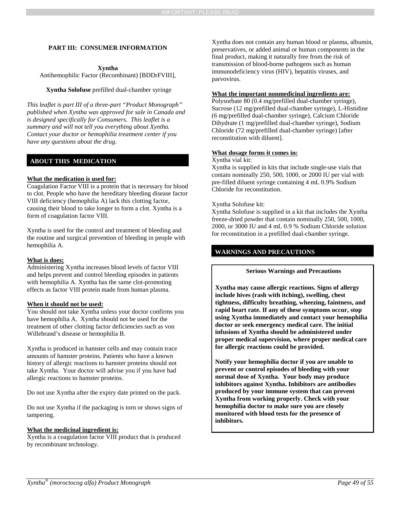#### <span id="page-48-0"></span>**PART III: CONSUMER INFORMATION**

#### **Xyntha**

Antihemophilic Factor (Recombinant) [BDDrFVIII],

#### **Xyntha Solofuse** prefilled dual-chamber syringe

*This leaflet is part III of a three-part "Product Monograph" published when Xyntha was approved for sale in Canada and is designed specifically for Consumers. This leaflet is a summary and will not tell you everything about Xyntha. Contact your doctor or hemophilia treatment center if you have any questions about the drug.*

#### **ABOUT THIS MEDICATION**

#### **What the medication is used for:**

Coagulation Factor VIII is a protein that is necessary for blood to clot. People who have the hereditary bleeding disease factor VIII deficiency (hemophilia A) lack this clotting factor, causing their blood to take longer to form a clot. Xyntha is a form of coagulation factor VIII.

Xyntha is used for the control and treatment of bleeding and the routine and surgical prevention of bleeding in people with hemophilia A.

#### **What is does:**

Administering Xyntha increases blood levels of factor VIII and helps prevent and control bleeding episodes in patients with hemophilia A. Xyntha has the same clot-promoting effects as factor VIII protein made from human plasma.

#### **When it should not be used:**

You should not take Xyntha unless your doctor confirms you have hemophilia A. Xyntha should not be used for the treatment of other clotting factor deficiencies such as von Willebrand's disease or hemophilia B.

Xyntha is produced in hamster cells and may contain trace amounts of hamster proteins. Patients who have a known history of allergic reactions to hamster proteins should not take Xyntha. Your doctor will advise you if you have had allergic reactions to hamster proteins.

Do not use Xyntha after the expiry date printed on the pack.

Do not use Xyntha if the packaging is torn or shows signs of tampering.

#### **What the medicinal ingredient is:**

Xyntha is a coagulation factor VIII product that is produced by recombinant technology.

Xyntha does not contain any human blood or plasma, albumin, preservatives, or added animal or human components in the final product, making it naturally free from the risk of transmission of blood-borne pathogens such as human immunodeficiency virus (HIV), hepatitis viruses, and parvovirus.

#### **What the important nonmedicinal ingredients are:**

Polysorbate 80 (0.4 mg/prefilled dual-chamber syringe), Sucrose (12 mg/prefilled dual-chamber syringe), L-Histidine (6 mg/prefilled dual-chamber syringe), Calcium Chloride Dihydrate (1 mg/prefilled dual-chamber syringe), Sodium Chloride (72 mg/prefilled dual-chamber syringe) [after reconstitution with diluent].

#### **What dosage forms it comes in:**

Xyntha vial kit:

Xyntha is supplied in kits that include single-use vials that contain nominally 250, 500, 1000, or 2000 IU per vial with pre-filled diluent syringe containing 4 mL 0.9% Sodium Chloride for reconstitution.

#### Xyntha Solofuse kit:

Xyntha Solofuse is supplied in a kit that includes the Xyntha freeze-dried powder that contain nominally 250, 500, 1000, 2000, or 3000 IU and 4 mL 0.9 % Sodium Chloride solution for reconstitution in a prefilled dual-chamber syringe.

### **WARNINGS AND PRECAUTIONS**

#### **Serious Warnings and Precautions**

**Xyntha may cause allergic reactions. Signs of allergy include hives (rash with itching), swelling, chest tightness, difficulty breathing, wheezing, faintness, and rapid heart rate. If any of these symptoms occur, stop using Xyntha immediately and contact your hemophilia doctor or seek emergency medical care. The initial infusions of Xyntha should be administered under proper medical supervision, where proper medical care for allergic reactions could be provided.**

**Notify your hemophilia doctor if you are unable to prevent or control episodes of bleeding with your normal dose of Xyntha. Your body may produce inhibitors against Xyntha. Inhibitors are antibodies produced by your immune system that can prevent Xyntha from working properly. Check with your hemophilia doctor to make sure you are closely monitored with blood tests for the presence of inhibitors.**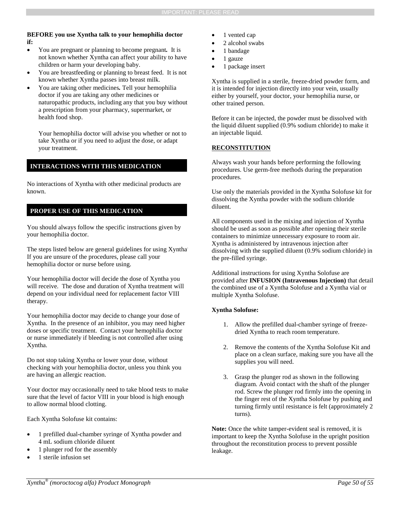#### **BEFORE you use Xyntha talk to your hemophilia doctor if:**

- You are pregnant or planning to become pregnant*.* It is not known whether Xyntha can affect your ability to have children or harm your developing baby.
- You are breastfeeding or planning to breast feed. It is not known whether Xyntha passes into breast milk.
- You are taking other medicines*.* Tell your hemophilia doctor if you are taking any other medicines or naturopathic products, including any that you buy without a prescription from your pharmacy, supermarket, or health food shop.

Your hemophilia doctor will advise you whether or not to take Xyntha or if you need to adjust the dose, or adapt your treatment.

#### **INTERACTIONS WITH THIS MEDICATION**

No interactions of Xyntha with other medicinal products are known.

### **PROPER USE OF THIS MEDICATION**

You should always follow the specific instructions given by your hemophilia doctor.

The steps listed below are general guidelines for using Xyntha. If you are unsure of the procedures, please call your hemophilia doctor or nurse before using.

Your hemophilia doctor will decide the dose of Xyntha you will receive. The dose and duration of Xyntha treatment will depend on your individual need for replacement factor VIII therapy.

Your hemophilia doctor may decide to change your dose of Xyntha. In the presence of an inhibitor, you may need higher doses or specific treatment. Contact your hemophilia doctor or nurse immediately if bleeding is not controlled after using Xyntha.

Do not stop taking Xyntha or lower your dose, without checking with your hemophilia doctor, unless you think you are having an allergic reaction.

Your doctor may occasionally need to take blood tests to make sure that the level of factor VIII in your blood is high enough to allow normal blood clotting.

Each Xyntha Solofuse kit contains:

- 1 prefilled dual-chamber syringe of Xyntha powder and 4 mL sodium chloride diluent
- 1 plunger rod for the assembly
- 1 sterile infusion set
- 1 vented cap
- 2 alcohol swabs
- 1 bandage
- 1 gauze
- 1 package insert

Xyntha is supplied in a sterile, freeze-dried powder form, and it is intended for injection directly into your vein, usually either by yourself, your doctor, your hemophilia nurse, or other trained person.

Before it can be injected, the powder must be dissolved with the liquid diluent supplied (0.9% sodium chloride) to make it an injectable liquid.

#### **RECONSTITUTION**

Always wash your hands before performing the following procedures. Use germ-free methods during the preparation procedures.

Use only the materials provided in the Xyntha Solofuse kit for dissolving the Xyntha powder with the sodium chloride diluent.

All components used in the mixing and injection of Xyntha should be used as soon as possible after opening their sterile containers to minimize unnecessary exposure to room air. Xyntha is administered by intravenous injection after dissolving with the supplied diluent (0.9% sodium chloride) in the pre-filled syringe.

Additional instructions for using Xyntha Solofuse are provided after **INFUSION (Intravenous Injection)** that detail the combined use of a Xyntha Solofuse and a Xyntha vial or multiple Xyntha Solofuse.

#### **Xyntha Solofuse:**

- 1. Allow the prefilled dual-chamber syringe of freezedried Xyntha to reach room temperature.
- Remove the contents of the Xyntha Solofuse Kit and place on a clean surface, making sure you have all the supplies you will need.
- 3. Grasp the plunger rod as shown in the following diagram. Avoid contact with the shaft of the plunger rod. Screw the plunger rod firmly into the opening in the finger rest of the Xyntha Solofuse by pushing and turning firmly until resistance is felt (approximately 2 turns).

Note: Once the white tamper-evident seal is removed, it is important to keep the Xyntha Solofuse in the upright position throughout the reconstitution process to prevent possible leakage.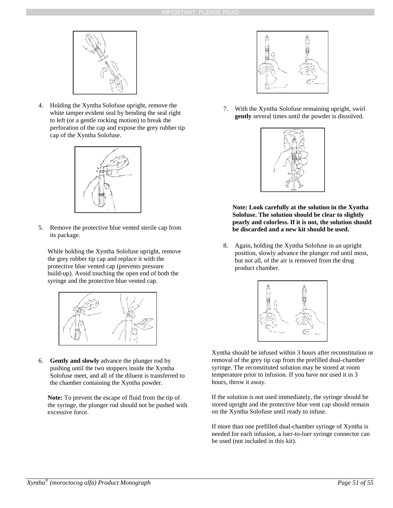

4. Holding the Xyntha Solofuse upright, remove the white tamper evident seal by bending the seal right to left (or a gentle rocking motion) to break the perforation of the cap and expose the grey rubber tip cap of the Xyntha Solofuse.



5. Remove the protective blue vented sterile cap from its package.

While holding the Xyntha Solofuse upright, remove the grey rubber tip cap and replace it with the protective blue vented cap (prevents pressure build-up). Avoid touching the open end of both the syringe and the protective blue vented cap.



6. **Gently and slowly** advance the plunger rod by pushing until the two stoppers inside the Xyntha Solofuse meet, and all of the diluent is transferred to the chamber containing the Xyntha powder.

**Note:** To prevent the escape of fluid from the tip of the syringe, the plunger rod should not be pushed with excessive force.



7. With the Xyntha Solofuse remaining upright, swirl **gently** several times until the powder is dissolved.



**Note: Look carefully at the solution in the Xyntha Solofuse. The solution should be clear to slightly pearly and colorless. If it is not, the solution should be discarded and a new kit should be used.** 

8. Again, holding the Xyntha Solofuse in an upright position, slowly advance the plunger rod until most, but not all, of the air is removed from the drug product chamber.



Xyntha should be infused within 3 hours after reconstitution or removal of the grey tip cap from the prefilled dual-chamber syringe. The reconstituted solution may be stored at room temperature prior to infusion. If you have not used it in 3 hours, throw it away.

If the solution is not used immediately, the syringe should be stored upright and the protective blue vent cap should remain on the Xyntha Solofuse until ready to infuse.

If more than one prefilled dual-chamber syringe of Xyntha is needed for each infusion, a luer-to-luer syringe connector can be used (not included in this kit).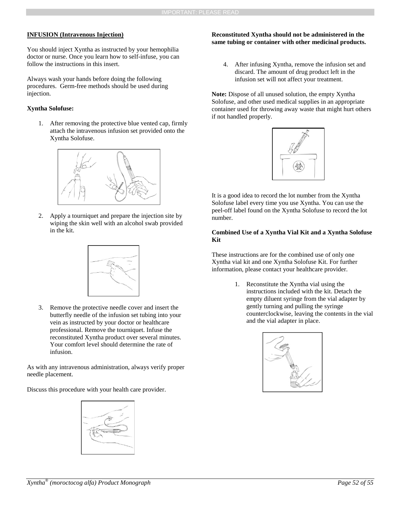#### **INFUSION (Intravenous Injection)**

You should inject Xyntha as instructed by your hemophilia doctor or nurse. Once you learn how to self-infuse, you can follow the instructions in this insert.

Always wash your hands before doing the following procedures. Germ-free methods should be used during injection.

#### **Xyntha Solofuse:**

1. After removing the protective blue vented cap, firmly attach the intravenous infusion set provided onto the Xyntha Solofuse.



2. Apply a tourniquet and prepare the injection site by wiping the skin well with an alcohol swab provided in the kit.



3. Remove the protective needle cover and insert the butterfly needle of the infusion set tubing into your vein as instructed by your doctor or healthcare professional. Remove the tourniquet. Infuse the reconstituted Xyntha product over several minutes. Your comfort level should determine the rate of infusion.

As with any intravenous administration, always verify proper needle placement.

Discuss this procedure with your health care provider.



#### **Reconstituted Xyntha should not be administered in the same tubing or container with other medicinal products.**

4. After infusing Xyntha, remove the infusion set and discard. The amount of drug product left in the infusion set will not affect your treatment.

Note: Dispose of all unused solution, the empty Xyntha Solofuse, and other used medical supplies in an appropriate container used for throwing away waste that might hurt others if not handled properly.



It is a good idea to record the lot number from the Xyntha Solofuse label every time you use Xyntha. You can use the peel-off label found on the Xyntha Solofuse to record the lot number.

#### **Combined Use of a Xyntha Vial Kit and a Xyntha Solofuse Kit**

These instructions are for the combined use of only one Xyntha vial kit and one Xyntha Solofuse Kit. For further information, please contact your healthcare provider.

> 1. Reconstitute the Xyntha vial using the instructions included with the kit. Detach the empty diluent syringe from the vial adapter by gently turning and pulling the syringe counterclockwise, leaving the contents in the vial and the vial adapter in place.

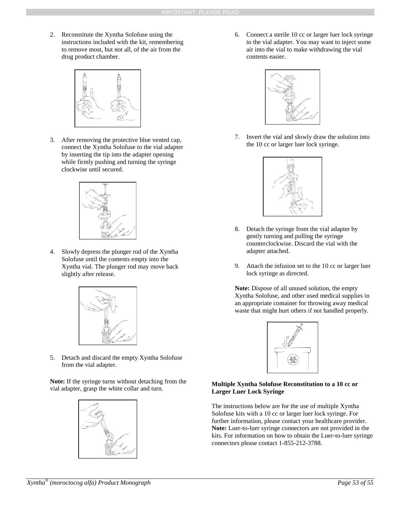2. Reconstitute the Xyntha Solofuse using the instructions included with the kit, remembering to remove most, but not all, of the air from the drug product chamber.



3. After removing the protective blue vented cap, connect the Xyntha Solofuse to the vial adapter by inserting the tip into the adapter opening while firmly pushing and turning the syringe clockwise until secured.



4. Slowly depress the plunger rod of the Xyntha Solofuse until the contents empty into the Xyntha vial. The plunger rod may move back slightly after release.



5. Detach and discard the empty Xyntha Solofuse from the vial adapter.

**Note:** If the syringe turns without detaching from the vial adapter, grasp the white collar and turn.



6. Connect a sterile 10 cc or larger luer lock syringe to the vial adapter. You may want to inject some air into the vial to make withdrawing the vial contents easier.



7. Invert the vial and slowly draw the solution into the 10 cc or larger luer lock syringe.



- 8. Detach the syringe from the vial adapter by gently turning and pulling the syringe counterclockwise. Discard the vial with the adapter attached.
- 9. Attach the infusion set to the 10 cc or larger luer lock syringe as directed.

**Note:** Dispose of all unused solution, the empty Xyntha Solofuse, and other used medical supplies in an appropriate container for throwing away medical waste that might hurt others if not handled properly.



#### **Multiple Xyntha Solofuse Reconstitution to a 10 cc or Larger Luer Lock Syringe**

The instructions below are for the use of multiple Xyntha Solofuse kits with a 10 cc or larger luer lock syringe. For further information, please contact your healthcare provider. **Note:** Luer-to-luer syringe connectors are not provided in the kits. For information on how to obtain the Luer-to-luer syringe connectors please contact 1-855-212-3788.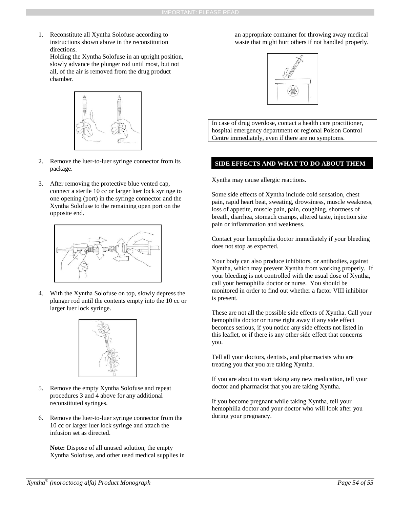1. Reconstitute all Xyntha Solofuse according to instructions shown above in the reconstitution directions.

Holding the Xyntha Solofuse in an upright position, slowly advance the plunger rod until most, but not all, of the air is removed from the drug product chamber.



- 2. Remove the luer-to-luer syringe connector from its package.
- 3. After removing the protective blue vented cap, connect a sterile 10 cc or larger luer lock syringe to one opening (port) in the syringe connector and the Xyntha Solofuse to the remaining open port on the opposite end.



4. With the Xyntha Solofuse on top, slowly depress the plunger rod until the contents empty into the 10 cc or larger luer lock syringe.



- 5. Remove the empty Xyntha Solofuse and repeat procedures 3 and 4 above for any additional reconstituted syringes.
- 6. Remove the luer-to-luer syringe connector from the 10 cc or larger luer lock syringe and attach the infusion set as directed.

**Note:** Dispose of all unused solution, the empty Xyntha Solofuse, and other used medical supplies in an appropriate container for throwing away medical waste that might hurt others if not handled properly.



In case of drug overdose, contact a health care practitioner, hospital emergency department or regional Poison Control Centre immediately, even if there are no symptoms.

#### **SIDE EFFECTS AND WHAT TO DO ABOUT THEM**

Xyntha may cause allergic reactions.

Some side effects of Xyntha include cold sensation, chest pain, rapid heart beat, sweating, drowsiness, muscle weakness, loss of appetite, muscle pain, pain, coughing, shortness of breath, diarrhea, stomach cramps, altered taste, injection site pain or inflammation and weakness.

Contact your hemophilia doctor immediately if your bleeding does not stop as expected.

Your body can also produce inhibitors, or antibodies, against Xyntha, which may prevent Xyntha from working properly. If your bleeding is not controlled with the usual dose of Xyntha, call your hemophilia doctor or nurse. You should be monitored in order to find out whether a factor VIII inhibitor is present.

These are not all the possible side effects of Xyntha. Call your hemophilia doctor or nurse right away if any side effect becomes serious, if you notice any side effects not listed in this leaflet, or if there is any other side effect that concerns you.

Tell all your doctors, dentists, and pharmacists who are treating you that you are taking Xyntha.

If you are about to start taking any new medication, tell your doctor and pharmacist that you are taking Xyntha.

If you become pregnant while taking Xyntha, tell your hemophilia doctor and your doctor who will look after you during your pregnancy.